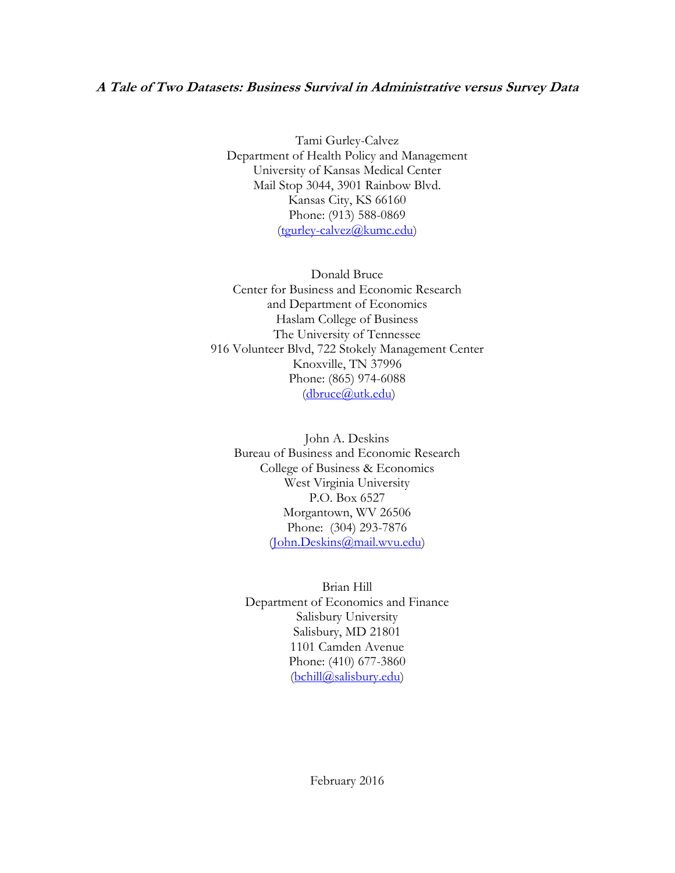# **A Tale of Two Datasets: Business Survival in Administrative versus Survey Data**

Tami Gurley-Calvez Department of Health Policy and Management University of Kansas Medical Center Mail Stop 3044, 3901 Rainbow Blvd. Kansas City, KS 66160 Phone: (913) 588-0869 [\(tgurley-calvez@kumc.edu\)](mailto:tgurley-calvez@kumc.edu)

Donald Bruce Center for Business and Economic Research and Department of Economics Haslam College of Business The University of Tennessee 916 Volunteer Blvd, 722 Stokely Management Center Knoxville, TN 37996 Phone: (865) 974-6088 [\(dbruce@utk.edu\)](mailto:dbruce@utk.edu)

John A. Deskins Bureau of Business and Economic Research College of Business & Economics West Virginia University P.O. Box 6527 Morgantown, WV 26506 Phone: (304) 293-7876 [\(John.Deskins@mail.wvu.edu\)](mailto:John.Deskins@mail.wvu.edu)

Brian Hill Department of Economics and Finance Salisbury University Salisbury, MD 21801 1101 Camden Avenue Phone: (410) 677-3860 [\(bchill@salisbury.edu\)](mailto:bchill@salisbury.edu)

February 2016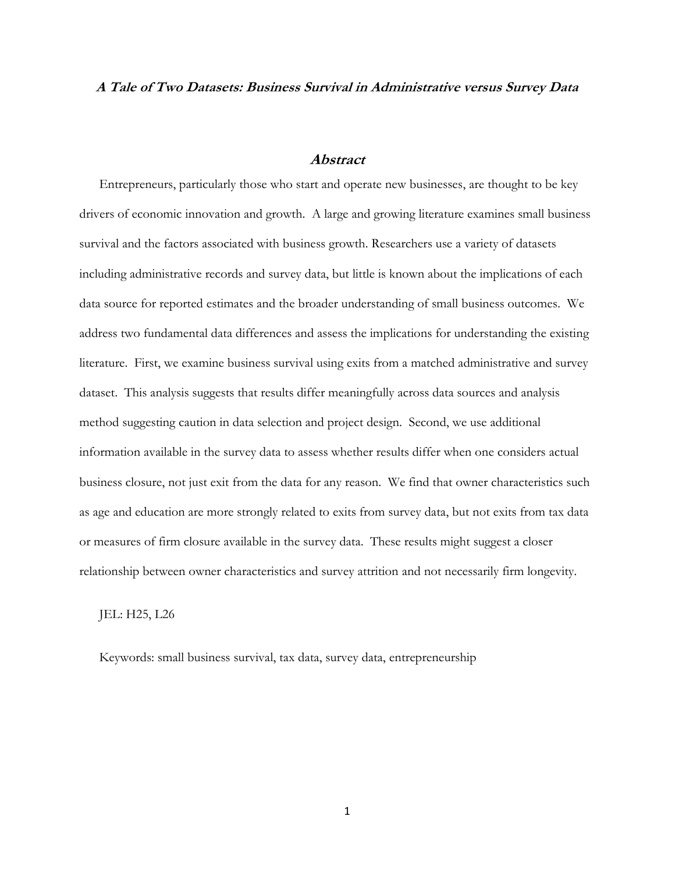#### **A Tale of Two Datasets: Business Survival in Administrative versus Survey Data**

#### **Abstract**

Entrepreneurs, particularly those who start and operate new businesses, are thought to be key drivers of economic innovation and growth. A large and growing literature examines small business survival and the factors associated with business growth. Researchers use a variety of datasets including administrative records and survey data, but little is known about the implications of each data source for reported estimates and the broader understanding of small business outcomes. We address two fundamental data differences and assess the implications for understanding the existing literature. First, we examine business survival using exits from a matched administrative and survey dataset. This analysis suggests that results differ meaningfully across data sources and analysis method suggesting caution in data selection and project design. Second, we use additional information available in the survey data to assess whether results differ when one considers actual business closure, not just exit from the data for any reason. We find that owner characteristics such as age and education are more strongly related to exits from survey data, but not exits from tax data or measures of firm closure available in the survey data. These results might suggest a closer relationship between owner characteristics and survey attrition and not necessarily firm longevity.

JEL: H25, L26

Keywords: small business survival, tax data, survey data, entrepreneurship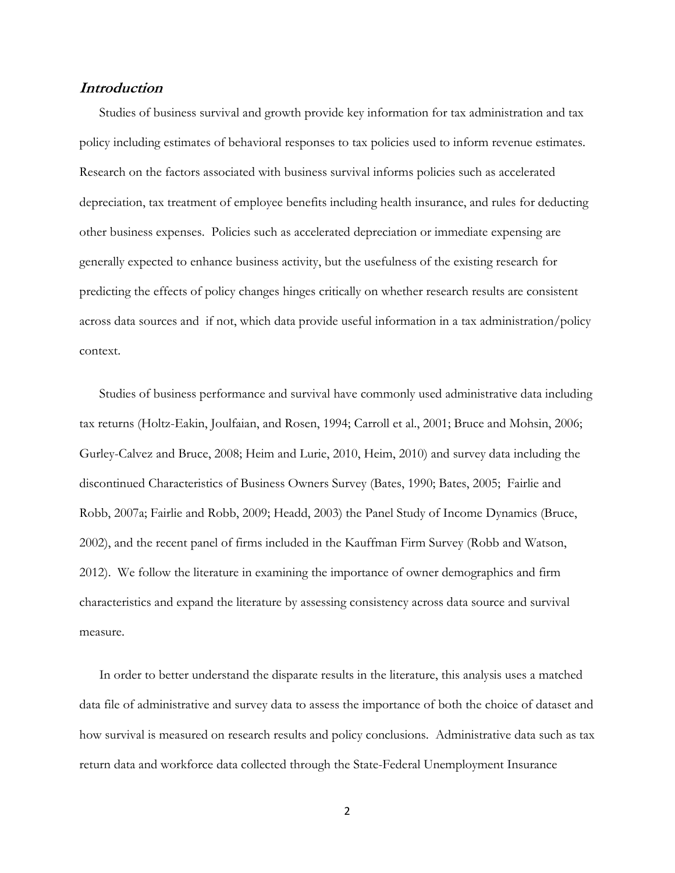# **Introduction**

Studies of business survival and growth provide key information for tax administration and tax policy including estimates of behavioral responses to tax policies used to inform revenue estimates. Research on the factors associated with business survival informs policies such as accelerated depreciation, tax treatment of employee benefits including health insurance, and rules for deducting other business expenses. Policies such as accelerated depreciation or immediate expensing are generally expected to enhance business activity, but the usefulness of the existing research for predicting the effects of policy changes hinges critically on whether research results are consistent across data sources and if not, which data provide useful information in a tax administration/policy context.

Studies of business performance and survival have commonly used administrative data including tax returns (Holtz-Eakin, Joulfaian, and Rosen, 1994; Carroll et al., 2001; Bruce and Mohsin, 2006; Gurley-Calvez and Bruce, 2008; Heim and Lurie, 2010, Heim, 2010) and survey data including the discontinued Characteristics of Business Owners Survey (Bates, 1990; Bates, 2005; Fairlie and Robb, 2007a; Fairlie and Robb, 2009; Headd, 2003) the Panel Study of Income Dynamics (Bruce, 2002), and the recent panel of firms included in the Kauffman Firm Survey (Robb and Watson, 2012). We follow the literature in examining the importance of owner demographics and firm characteristics and expand the literature by assessing consistency across data source and survival measure.

In order to better understand the disparate results in the literature, this analysis uses a matched data file of administrative and survey data to assess the importance of both the choice of dataset and how survival is measured on research results and policy conclusions. Administrative data such as tax return data and workforce data collected through the State-Federal Unemployment Insurance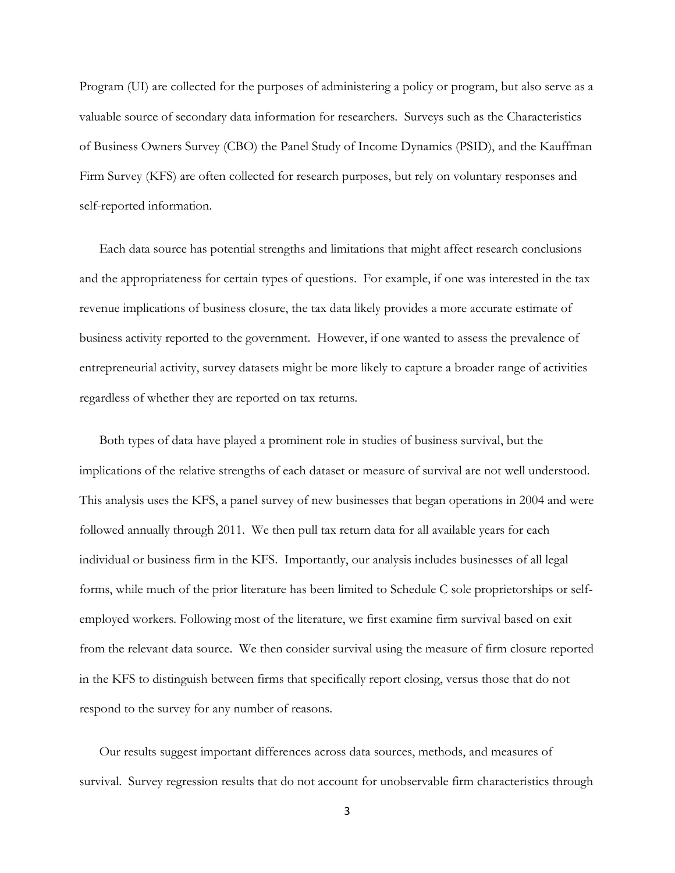Program (UI) are collected for the purposes of administering a policy or program, but also serve as a valuable source of secondary data information for researchers. Surveys such as the Characteristics of Business Owners Survey (CBO) the Panel Study of Income Dynamics (PSID), and the Kauffman Firm Survey (KFS) are often collected for research purposes, but rely on voluntary responses and self-reported information.

Each data source has potential strengths and limitations that might affect research conclusions and the appropriateness for certain types of questions. For example, if one was interested in the tax revenue implications of business closure, the tax data likely provides a more accurate estimate of business activity reported to the government. However, if one wanted to assess the prevalence of entrepreneurial activity, survey datasets might be more likely to capture a broader range of activities regardless of whether they are reported on tax returns.

Both types of data have played a prominent role in studies of business survival, but the implications of the relative strengths of each dataset or measure of survival are not well understood. This analysis uses the KFS, a panel survey of new businesses that began operations in 2004 and were followed annually through 2011. We then pull tax return data for all available years for each individual or business firm in the KFS. Importantly, our analysis includes businesses of all legal forms, while much of the prior literature has been limited to Schedule C sole proprietorships or selfemployed workers. Following most of the literature, we first examine firm survival based on exit from the relevant data source. We then consider survival using the measure of firm closure reported in the KFS to distinguish between firms that specifically report closing, versus those that do not respond to the survey for any number of reasons.

Our results suggest important differences across data sources, methods, and measures of survival. Survey regression results that do not account for unobservable firm characteristics through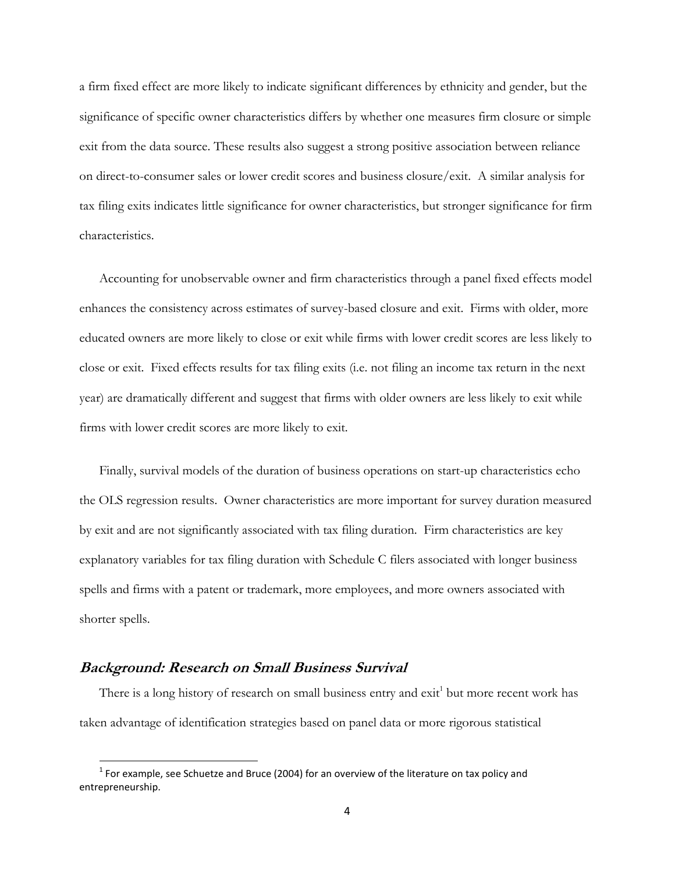a firm fixed effect are more likely to indicate significant differences by ethnicity and gender, but the significance of specific owner characteristics differs by whether one measures firm closure or simple exit from the data source. These results also suggest a strong positive association between reliance on direct-to-consumer sales or lower credit scores and business closure/exit. A similar analysis for tax filing exits indicates little significance for owner characteristics, but stronger significance for firm characteristics.

Accounting for unobservable owner and firm characteristics through a panel fixed effects model enhances the consistency across estimates of survey-based closure and exit. Firms with older, more educated owners are more likely to close or exit while firms with lower credit scores are less likely to close or exit. Fixed effects results for tax filing exits (i.e. not filing an income tax return in the next year) are dramatically different and suggest that firms with older owners are less likely to exit while firms with lower credit scores are more likely to exit.

Finally, survival models of the duration of business operations on start-up characteristics echo the OLS regression results. Owner characteristics are more important for survey duration measured by exit and are not significantly associated with tax filing duration. Firm characteristics are key explanatory variables for tax filing duration with Schedule C filers associated with longer business spells and firms with a patent or trademark, more employees, and more owners associated with shorter spells.

### **Background: Research on Small Business Survival**

l

There is a long history of research on small business entry and exit<sup>1</sup> but more recent work has taken advantage of identification strategies based on panel data or more rigorous statistical

 $1$  For example, see Schuetze and Bruce (2004) for an overview of the literature on tax policy and entrepreneurship.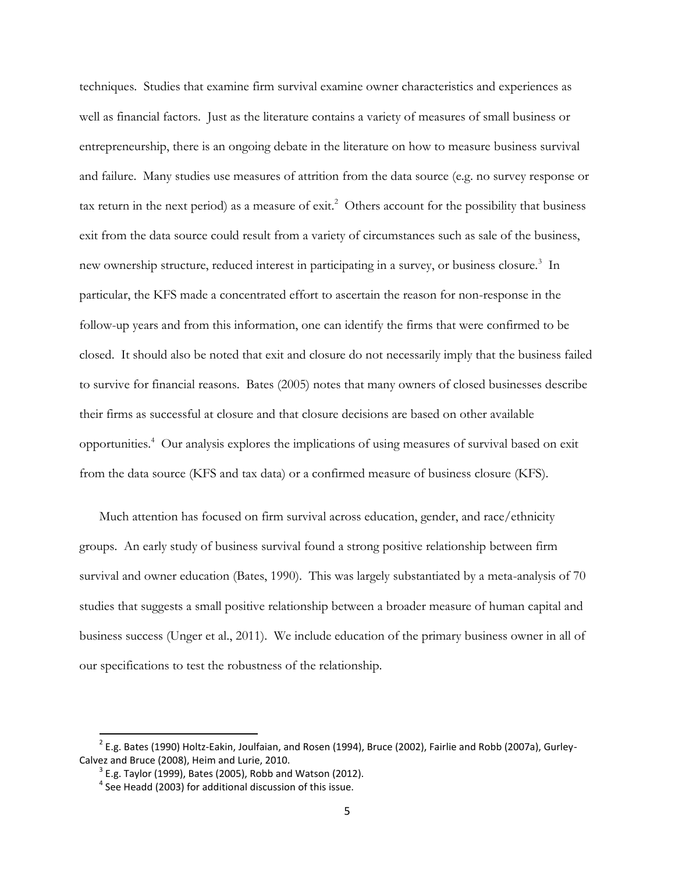techniques. Studies that examine firm survival examine owner characteristics and experiences as well as financial factors. Just as the literature contains a variety of measures of small business or entrepreneurship, there is an ongoing debate in the literature on how to measure business survival and failure. Many studies use measures of attrition from the data source (e.g. no survey response or tax return in the next period) as a measure of exit.<sup>2</sup> Others account for the possibility that business exit from the data source could result from a variety of circumstances such as sale of the business, new ownership structure, reduced interest in participating in a survey, or business closure.<sup>3</sup> In particular, the KFS made a concentrated effort to ascertain the reason for non-response in the follow-up years and from this information, one can identify the firms that were confirmed to be closed. It should also be noted that exit and closure do not necessarily imply that the business failed to survive for financial reasons. Bates (2005) notes that many owners of closed businesses describe their firms as successful at closure and that closure decisions are based on other available opportunities. 4 Our analysis explores the implications of using measures of survival based on exit from the data source (KFS and tax data) or a confirmed measure of business closure (KFS).

Much attention has focused on firm survival across education, gender, and race/ethnicity groups. An early study of business survival found a strong positive relationship between firm survival and owner education (Bates, 1990). This was largely substantiated by a meta-analysis of 70 studies that suggests a small positive relationship between a broader measure of human capital and business success (Unger et al., 2011). We include education of the primary business owner in all of our specifications to test the robustness of the relationship.

 $\overline{a}$ 

 $^2$  E.g. Bates (1990) Holtz-Eakin, Joulfaian, and Rosen (1994), Bruce (2002), Fairlie and Robb (2007a), Gurley-Calvez and Bruce (2008), Heim and Lurie, 2010.

 $3$  E.g. Taylor (1999), Bates (2005), Robb and Watson (2012).

 $<sup>4</sup>$  See Headd (2003) for additional discussion of this issue.</sup>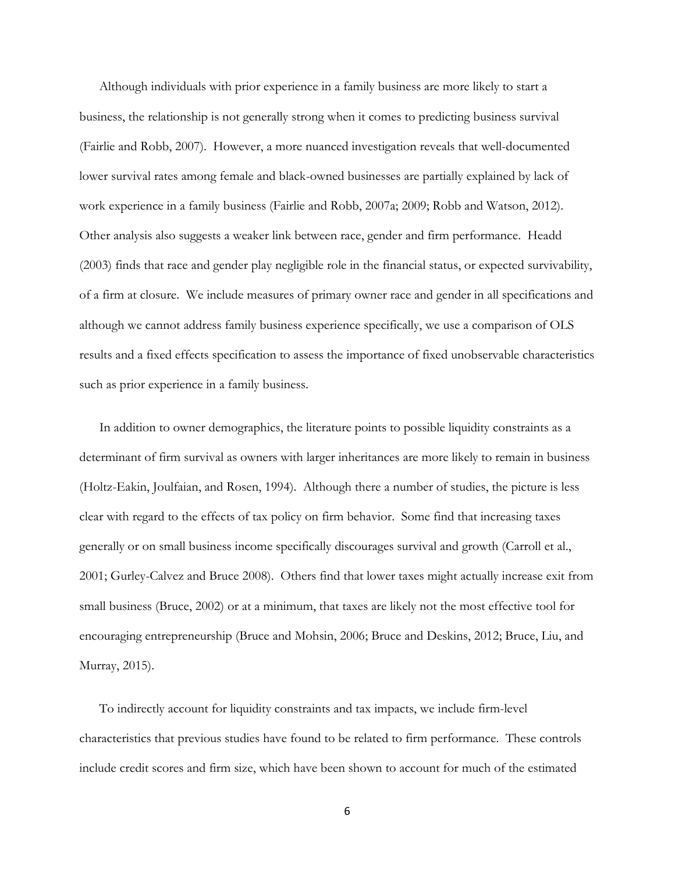Although individuals with prior experience in a family business are more likely to start a business, the relationship is not generally strong when it comes to predicting business survival (Fairlie and Robb, 2007). However, a more nuanced investigation reveals that well-documented lower survival rates among female and black-owned businesses are partially explained by lack of work experience in a family business (Fairlie and Robb, 2007a; 2009; Robb and Watson, 2012). Other analysis also suggests a weaker link between race, gender and firm performance. Headd (2003) finds that race and gender play negligible role in the financial status, or expected survivability, of a firm at closure. We include measures of primary owner race and gender in all specifications and although we cannot address family business experience specifically, we use a comparison of OLS results and a fixed effects specification to assess the importance of fixed unobservable characteristics such as prior experience in a family business.

In addition to owner demographics, the literature points to possible liquidity constraints as a determinant of firm survival as owners with larger inheritances are more likely to remain in business (Holtz-Eakin, Joulfaian, and Rosen, 1994). Although there a number of studies, the picture is less clear with regard to the effects of tax policy on firm behavior. Some find that increasing taxes generally or on small business income specifically discourages survival and growth (Carroll et al., 2001; Gurley-Calvez and Bruce 2008). Others find that lower taxes might actually increase exit from small business (Bruce, 2002) or at a minimum, that taxes are likely not the most effective tool for encouraging entrepreneurship (Bruce and Mohsin, 2006; Bruce and Deskins, 2012; Bruce, Liu, and Murray, 2015).

To indirectly account for liquidity constraints and tax impacts, we include firm-level characteristics that previous studies have found to be related to firm performance. These controls include credit scores and firm size, which have been shown to account for much of the estimated

6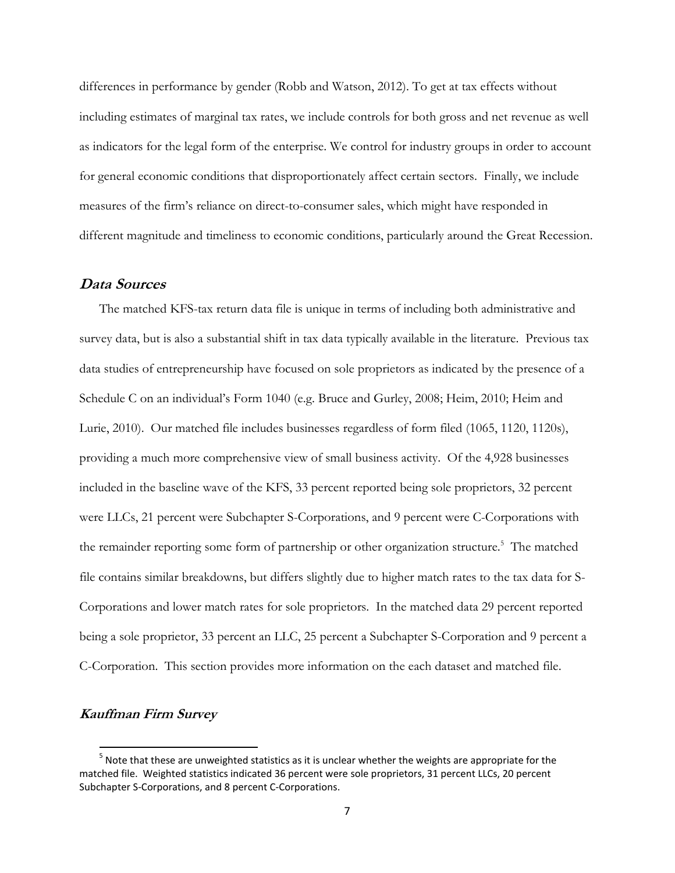differences in performance by gender (Robb and Watson, 2012). To get at tax effects without including estimates of marginal tax rates, we include controls for both gross and net revenue as well as indicators for the legal form of the enterprise. We control for industry groups in order to account for general economic conditions that disproportionately affect certain sectors. Finally, we include measures of the firm's reliance on direct-to-consumer sales, which might have responded in different magnitude and timeliness to economic conditions, particularly around the Great Recession.

### **Data Sources**

The matched KFS-tax return data file is unique in terms of including both administrative and survey data, but is also a substantial shift in tax data typically available in the literature. Previous tax data studies of entrepreneurship have focused on sole proprietors as indicated by the presence of a Schedule C on an individual's Form 1040 (e.g. Bruce and Gurley, 2008; Heim, 2010; Heim and Lurie, 2010). Our matched file includes businesses regardless of form filed (1065, 1120, 1120s), providing a much more comprehensive view of small business activity. Of the 4,928 businesses included in the baseline wave of the KFS, 33 percent reported being sole proprietors, 32 percent were LLCs, 21 percent were Subchapter S-Corporations, and 9 percent were C-Corporations with the remainder reporting some form of partnership or other organization structure.<sup>5</sup> The matched file contains similar breakdowns, but differs slightly due to higher match rates to the tax data for S-Corporations and lower match rates for sole proprietors. In the matched data 29 percent reported being a sole proprietor, 33 percent an LLC, 25 percent a Subchapter S-Corporation and 9 percent a C-Corporation. This section provides more information on the each dataset and matched file.

### **Kauffman Firm Survey**

 $\overline{\phantom{a}}$ 

 $<sup>5</sup>$  Note that these are unweighted statistics as it is unclear whether the weights are appropriate for the</sup> matched file. Weighted statistics indicated 36 percent were sole proprietors, 31 percent LLCs, 20 percent Subchapter S-Corporations, and 8 percent C-Corporations.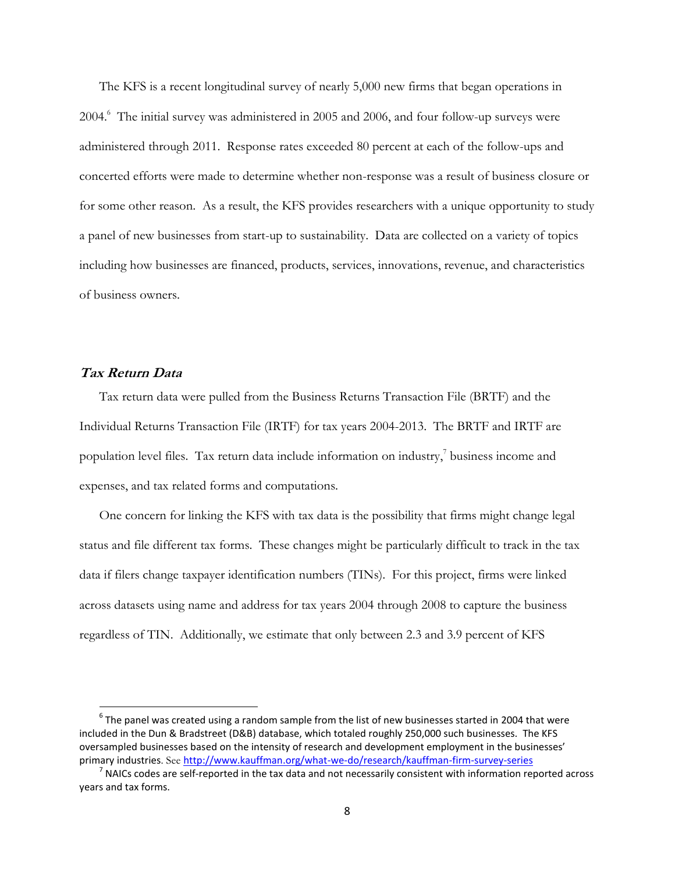The KFS is a recent longitudinal survey of nearly 5,000 new firms that began operations in 2004.<sup>6</sup> The initial survey was administered in 2005 and 2006, and four follow-up surveys were administered through 2011. Response rates exceeded 80 percent at each of the follow-ups and concerted efforts were made to determine whether non-response was a result of business closure or for some other reason. As a result, the KFS provides researchers with a unique opportunity to study a panel of new businesses from start-up to sustainability. Data are collected on a variety of topics including how businesses are financed, products, services, innovations, revenue, and characteristics of business owners.

# **Tax Return Data**

 $\overline{a}$ 

Tax return data were pulled from the Business Returns Transaction File (BRTF) and the Individual Returns Transaction File (IRTF) for tax years 2004-2013. The BRTF and IRTF are population level files. Tax return data include information on industry, 7 business income and expenses, and tax related forms and computations.

One concern for linking the KFS with tax data is the possibility that firms might change legal status and file different tax forms. These changes might be particularly difficult to track in the tax data if filers change taxpayer identification numbers (TINs). For this project, firms were linked across datasets using name and address for tax years 2004 through 2008 to capture the business regardless of TIN. Additionally, we estimate that only between 2.3 and 3.9 percent of KFS

 $^6$  The panel was created using a random sample from the list of new businesses started in 2004 that were included in the Dun & Bradstreet (D&B) database, which totaled roughly 250,000 such businesses. The KFS oversampled businesses based on the intensity of research and development employment in the businesses' primary industries. See <http://www.kauffman.org/what-we-do/research/kauffman-firm-survey-series>

 $^7$  NAICs codes are self-reported in the tax data and not necessarily consistent with information reported across years and tax forms.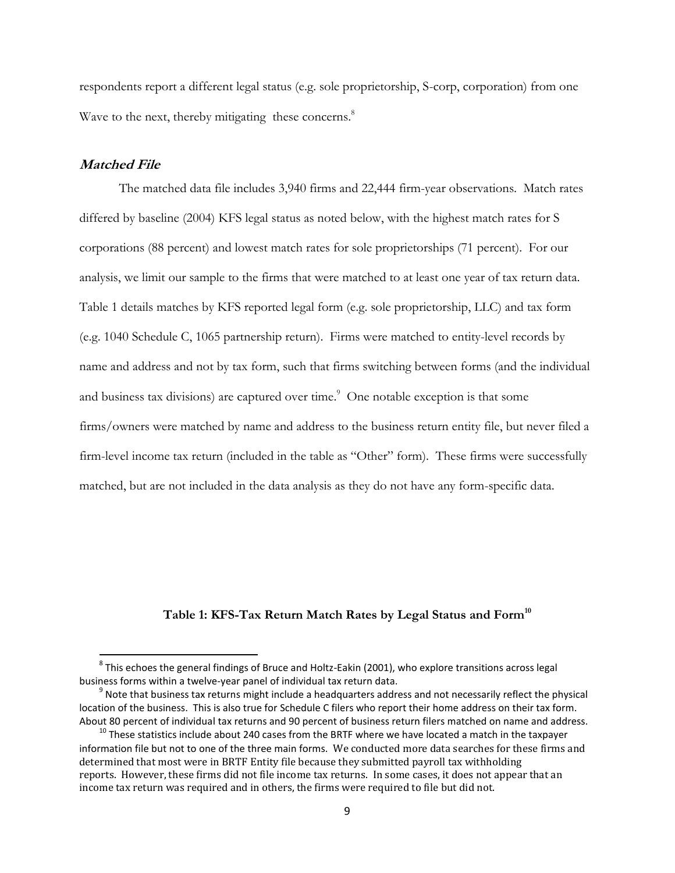respondents report a different legal status (e.g. sole proprietorship, S-corp, corporation) from one Wave to the next, thereby mitigating these concerns.<sup>8</sup>

### **Matched File**

 $\overline{\phantom{a}}$ 

The matched data file includes 3,940 firms and 22,444 firm-year observations. Match rates differed by baseline (2004) KFS legal status as noted below, with the highest match rates for S corporations (88 percent) and lowest match rates for sole proprietorships (71 percent). For our analysis, we limit our sample to the firms that were matched to at least one year of tax return data. Table 1 details matches by KFS reported legal form (e.g. sole proprietorship, LLC) and tax form (e.g. 1040 Schedule C, 1065 partnership return). Firms were matched to entity-level records by name and address and not by tax form, such that firms switching between forms (and the individual and business tax divisions) are captured over time.<sup>9</sup> One notable exception is that some firms/owners were matched by name and address to the business return entity file, but never filed a firm-level income tax return (included in the table as "Other" form). These firms were successfully matched, but are not included in the data analysis as they do not have any form-specific data.

#### **Table 1: KFS-Tax Return Match Rates by Legal Status and Form<sup>10</sup>**

 $^8$  This echoes the general findings of Bruce and Holtz-Eakin (2001), who explore transitions across legal business forms within a twelve-year panel of individual tax return data.

 $^9$  Note that business tax returns might include a headquarters address and not necessarily reflect the physical location of the business. This is also true for Schedule C filers who report their home address on their tax form. About 80 percent of individual tax returns and 90 percent of business return filers matched on name and address.

 $10$  These statistics include about 240 cases from the BRTF where we have located a match in the taxpayer information file but not to one of the three main forms. We conducted more data searches for these firms and determined that most were in BRTF Entity file because they submitted payroll tax withholding reports. However, these firms did not file income tax returns. In some cases, it does not appear that an income tax return was required and in others, the firms were required to file but did not.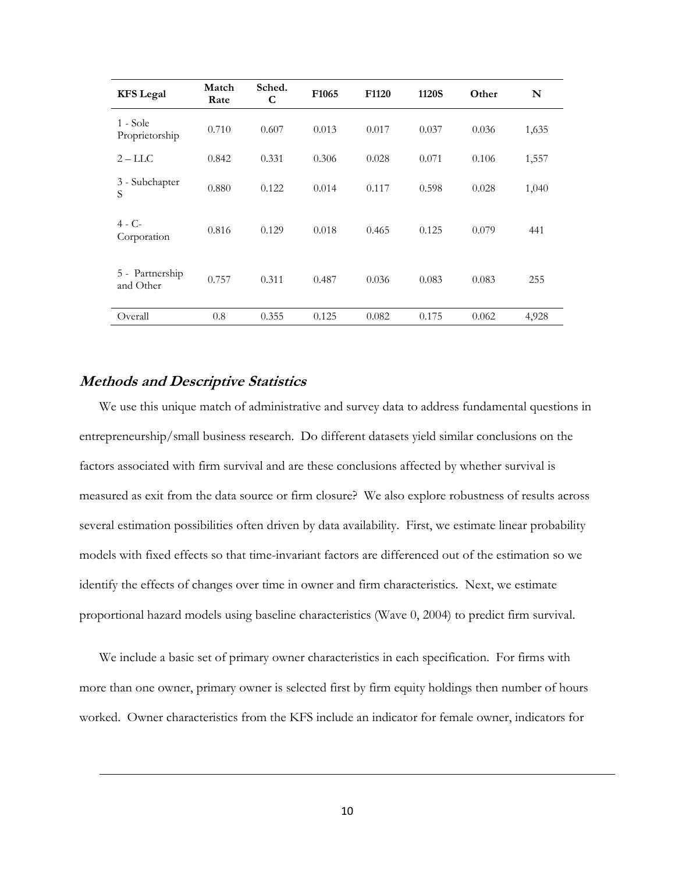| <b>KFS</b> Legal             | Match<br>Rate | Sched.<br>C | F <sub>1065</sub> | F <sub>1120</sub> | 1120S | Other | N     |
|------------------------------|---------------|-------------|-------------------|-------------------|-------|-------|-------|
| 1 - Sole<br>Proprietorship   | 0.710         | 0.607       | 0.013             | 0.017             | 0.037 | 0.036 | 1,635 |
| $2 - LLC$                    | 0.842         | 0.331       | 0.306             | 0.028             | 0.071 | 0.106 | 1,557 |
| 3 - Subchapter<br>S          | 0.880         | 0.122       | 0.014             | 0.117             | 0.598 | 0.028 | 1,040 |
| $4 - C -$<br>Corporation     | 0.816         | 0.129       | 0.018             | 0.465             | 0.125 | 0.079 | 441   |
| 5 - Partnership<br>and Other | 0.757         | 0.311       | 0.487             | 0.036             | 0.083 | 0.083 | 255   |
| Overall                      | 0.8           | 0.355       | 0.125             | 0.082             | 0.175 | 0.062 | 4,928 |

# **Methods and Descriptive Statistics**

 $\overline{\phantom{a}}$ 

We use this unique match of administrative and survey data to address fundamental questions in entrepreneurship/small business research. Do different datasets yield similar conclusions on the factors associated with firm survival and are these conclusions affected by whether survival is measured as exit from the data source or firm closure? We also explore robustness of results across several estimation possibilities often driven by data availability. First, we estimate linear probability models with fixed effects so that time-invariant factors are differenced out of the estimation so we identify the effects of changes over time in owner and firm characteristics. Next, we estimate proportional hazard models using baseline characteristics (Wave 0, 2004) to predict firm survival.

We include a basic set of primary owner characteristics in each specification. For firms with more than one owner, primary owner is selected first by firm equity holdings then number of hours worked. Owner characteristics from the KFS include an indicator for female owner, indicators for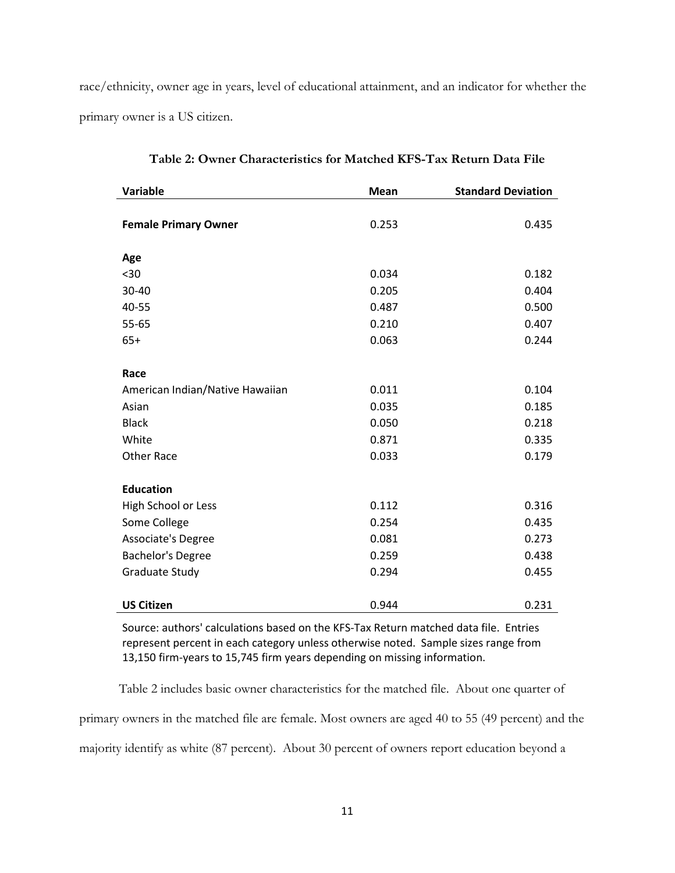race/ethnicity, owner age in years, level of educational attainment, and an indicator for whether the primary owner is a US citizen.

| <b>Variable</b>                 | <b>Mean</b> | <b>Standard Deviation</b> |
|---------------------------------|-------------|---------------------------|
|                                 |             |                           |
| <b>Female Primary Owner</b>     | 0.253       | 0.435                     |
|                                 |             |                           |
| Age                             |             |                           |
| $30$                            | 0.034       | 0.182                     |
| 30-40                           | 0.205       | 0.404                     |
| 40-55                           | 0.487       | 0.500                     |
| 55-65                           | 0.210       | 0.407                     |
| $65+$                           | 0.063       | 0.244                     |
|                                 |             |                           |
| Race                            |             |                           |
| American Indian/Native Hawaiian | 0.011       | 0.104                     |
| Asian                           | 0.035       | 0.185                     |
| <b>Black</b>                    | 0.050       | 0.218                     |
| White                           | 0.871       | 0.335                     |
| <b>Other Race</b>               | 0.033       | 0.179                     |
|                                 |             |                           |
| <b>Education</b>                |             |                           |
| High School or Less             | 0.112       | 0.316                     |
| Some College                    | 0.254       | 0.435                     |
| Associate's Degree              | 0.081       | 0.273                     |
| <b>Bachelor's Degree</b>        | 0.259       | 0.438                     |
| Graduate Study                  | 0.294       | 0.455                     |
|                                 |             |                           |
| <b>US Citizen</b>               | 0.944       | 0.231                     |

**Table 2: Owner Characteristics for Matched KFS-Tax Return Data File**

Source: authors' calculations based on the KFS-Tax Return matched data file. Entries represent percent in each category unless otherwise noted. Sample sizes range from 13,150 firm-years to 15,745 firm years depending on missing information.

Table 2 includes basic owner characteristics for the matched file. About one quarter of primary owners in the matched file are female. Most owners are aged 40 to 55 (49 percent) and the majority identify as white (87 percent). About 30 percent of owners report education beyond a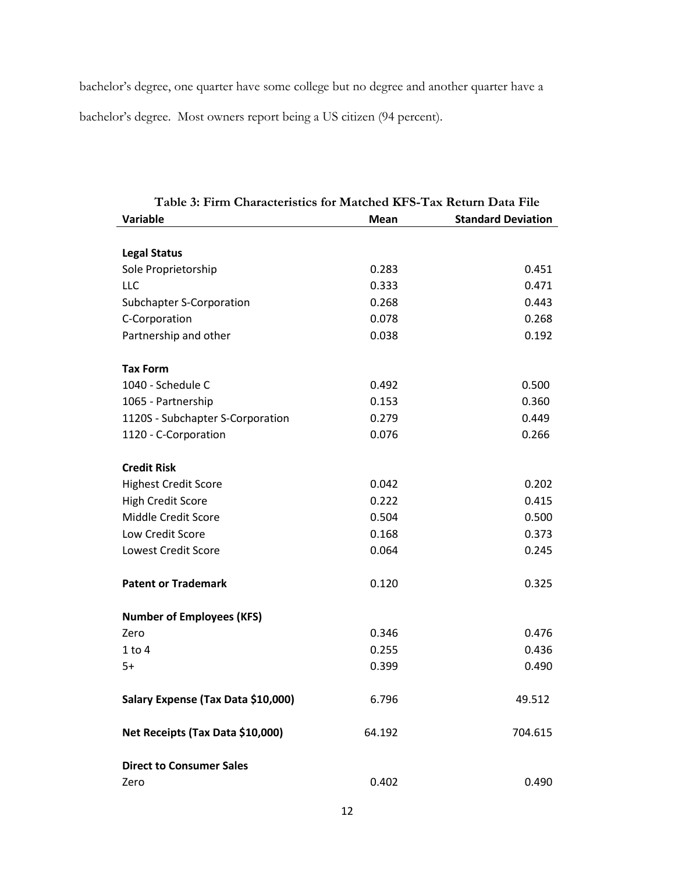bachelor's degree, one quarter have some college but no degree and another quarter have a bachelor's degree. Most owners report being a US citizen (94 percent).

| I able 5: Finn Characteristics for matched KFS-Tax Return Data File |             |                           |
|---------------------------------------------------------------------|-------------|---------------------------|
| Variable                                                            | <b>Mean</b> | <b>Standard Deviation</b> |
|                                                                     |             |                           |
| <b>Legal Status</b>                                                 |             |                           |
| Sole Proprietorship                                                 | 0.283       | 0.451                     |
| LLC                                                                 | 0.333       | 0.471                     |
| <b>Subchapter S-Corporation</b>                                     | 0.268       | 0.443                     |
| C-Corporation                                                       | 0.078       | 0.268                     |
| Partnership and other                                               | 0.038       | 0.192                     |
|                                                                     |             |                           |
| <b>Tax Form</b>                                                     |             |                           |
| 1040 - Schedule C                                                   | 0.492       | 0.500                     |
| 1065 - Partnership                                                  | 0.153       | 0.360                     |
| 1120S - Subchapter S-Corporation                                    | 0.279       | 0.449                     |
| 1120 - C-Corporation                                                | 0.076       | 0.266                     |
|                                                                     |             |                           |
| <b>Credit Risk</b>                                                  |             |                           |
| <b>Highest Credit Score</b>                                         | 0.042       | 0.202                     |
| <b>High Credit Score</b>                                            | 0.222       | 0.415                     |
| Middle Credit Score                                                 | 0.504       | 0.500                     |
| Low Credit Score                                                    | 0.168       | 0.373                     |
| <b>Lowest Credit Score</b>                                          | 0.064       | 0.245                     |
|                                                                     |             |                           |
| <b>Patent or Trademark</b>                                          | 0.120       | 0.325                     |
|                                                                     |             |                           |
| <b>Number of Employees (KFS)</b>                                    |             |                           |
| Zero                                                                | 0.346       | 0.476                     |
| $1$ to $4$                                                          | 0.255       | 0.436                     |
| $5+$                                                                | 0.399       | 0.490                     |
|                                                                     |             |                           |
| Salary Expense (Tax Data \$10,000)                                  | 6.796       | 49.512                    |
|                                                                     |             |                           |
| Net Receipts (Tax Data \$10,000)                                    | 64.192      | 704.615                   |
|                                                                     |             |                           |
| <b>Direct to Consumer Sales</b>                                     |             |                           |
| Zero                                                                | 0.402       | 0.490                     |
|                                                                     |             |                           |

**Table 3: Firm Characteristics for Matched KFS-Tax Return Data File**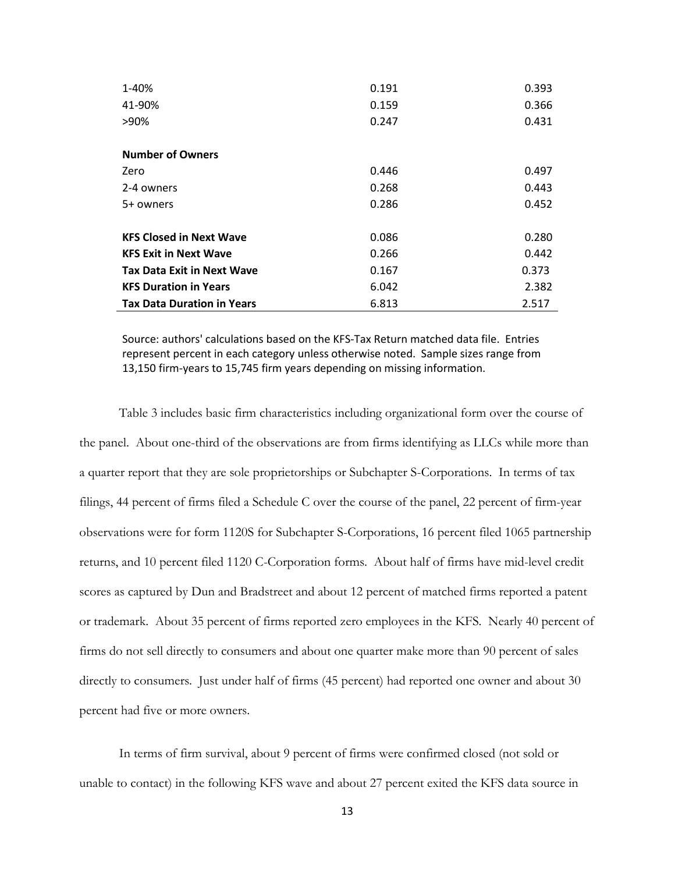| 1-40%                             | 0.191 | 0.393 |
|-----------------------------------|-------|-------|
| 41-90%                            | 0.159 | 0.366 |
| >90%                              | 0.247 | 0.431 |
|                                   |       |       |
| <b>Number of Owners</b>           |       |       |
| Zero                              | 0.446 | 0.497 |
| 2-4 owners                        | 0.268 | 0.443 |
| 5+ owners                         | 0.286 | 0.452 |
|                                   |       |       |
| <b>KFS Closed in Next Wave</b>    | 0.086 | 0.280 |
| <b>KFS Exit in Next Wave</b>      | 0.266 | 0.442 |
| <b>Tax Data Exit in Next Wave</b> | 0.167 | 0.373 |
| <b>KFS Duration in Years</b>      | 6.042 | 2.382 |
| <b>Tax Data Duration in Years</b> | 6.813 | 2.517 |

Source: authors' calculations based on the KFS-Tax Return matched data file. Entries represent percent in each category unless otherwise noted. Sample sizes range from 13,150 firm-years to 15,745 firm years depending on missing information.

Table 3 includes basic firm characteristics including organizational form over the course of the panel. About one-third of the observations are from firms identifying as LLCs while more than a quarter report that they are sole proprietorships or Subchapter S-Corporations. In terms of tax filings, 44 percent of firms filed a Schedule C over the course of the panel, 22 percent of firm-year observations were for form 1120S for Subchapter S-Corporations, 16 percent filed 1065 partnership returns, and 10 percent filed 1120 C-Corporation forms. About half of firms have mid-level credit scores as captured by Dun and Bradstreet and about 12 percent of matched firms reported a patent or trademark. About 35 percent of firms reported zero employees in the KFS. Nearly 40 percent of firms do not sell directly to consumers and about one quarter make more than 90 percent of sales directly to consumers. Just under half of firms (45 percent) had reported one owner and about 30 percent had five or more owners.

In terms of firm survival, about 9 percent of firms were confirmed closed (not sold or unable to contact) in the following KFS wave and about 27 percent exited the KFS data source in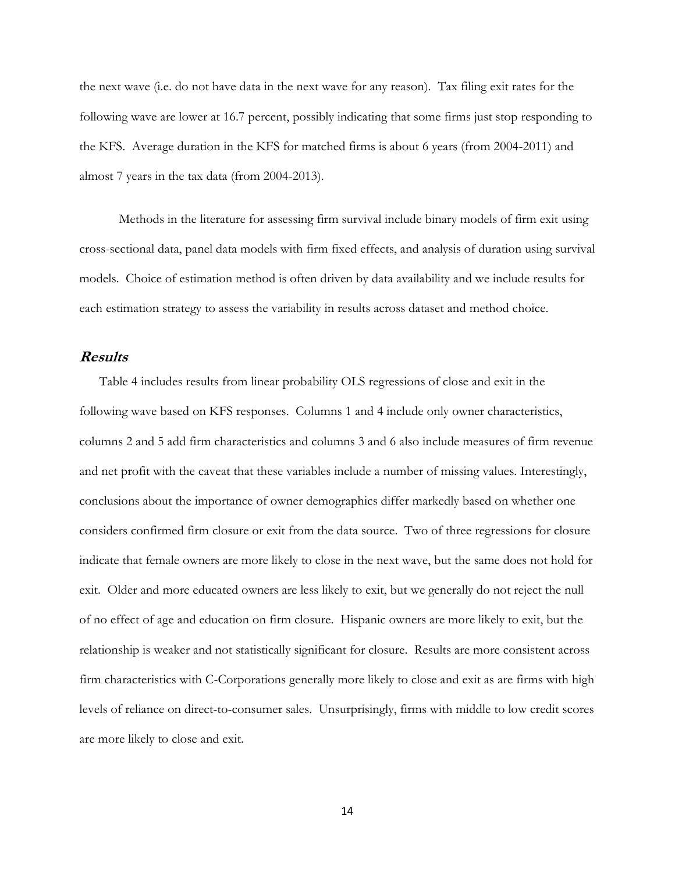the next wave (i.e. do not have data in the next wave for any reason). Tax filing exit rates for the following wave are lower at 16.7 percent, possibly indicating that some firms just stop responding to the KFS. Average duration in the KFS for matched firms is about 6 years (from 2004-2011) and almost 7 years in the tax data (from 2004-2013).

Methods in the literature for assessing firm survival include binary models of firm exit using cross-sectional data, panel data models with firm fixed effects, and analysis of duration using survival models. Choice of estimation method is often driven by data availability and we include results for each estimation strategy to assess the variability in results across dataset and method choice.

#### **Results**

Table 4 includes results from linear probability OLS regressions of close and exit in the following wave based on KFS responses. Columns 1 and 4 include only owner characteristics, columns 2 and 5 add firm characteristics and columns 3 and 6 also include measures of firm revenue and net profit with the caveat that these variables include a number of missing values. Interestingly, conclusions about the importance of owner demographics differ markedly based on whether one considers confirmed firm closure or exit from the data source. Two of three regressions for closure indicate that female owners are more likely to close in the next wave, but the same does not hold for exit. Older and more educated owners are less likely to exit, but we generally do not reject the null of no effect of age and education on firm closure. Hispanic owners are more likely to exit, but the relationship is weaker and not statistically significant for closure. Results are more consistent across firm characteristics with C-Corporations generally more likely to close and exit as are firms with high levels of reliance on direct-to-consumer sales. Unsurprisingly, firms with middle to low credit scores are more likely to close and exit.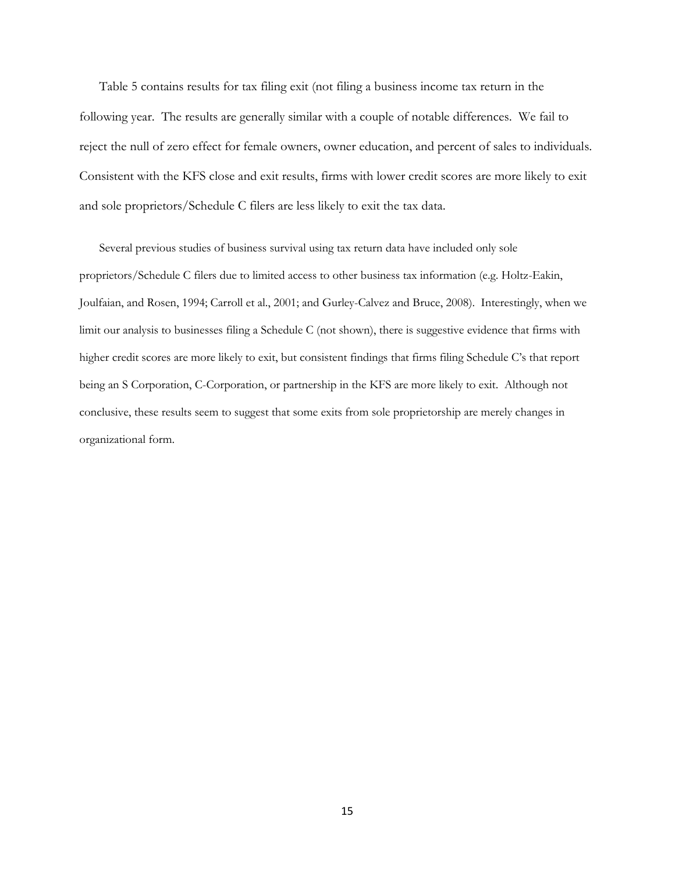Table 5 contains results for tax filing exit (not filing a business income tax return in the following year. The results are generally similar with a couple of notable differences. We fail to reject the null of zero effect for female owners, owner education, and percent of sales to individuals. Consistent with the KFS close and exit results, firms with lower credit scores are more likely to exit and sole proprietors/Schedule C filers are less likely to exit the tax data.

Several previous studies of business survival using tax return data have included only sole proprietors/Schedule C filers due to limited access to other business tax information (e.g. Holtz-Eakin, Joulfaian, and Rosen, 1994; Carroll et al., 2001; and Gurley-Calvez and Bruce, 2008). Interestingly, when we limit our analysis to businesses filing a Schedule C (not shown), there is suggestive evidence that firms with higher credit scores are more likely to exit, but consistent findings that firms filing Schedule C's that report being an S Corporation, C-Corporation, or partnership in the KFS are more likely to exit. Although not conclusive, these results seem to suggest that some exits from sole proprietorship are merely changes in organizational form.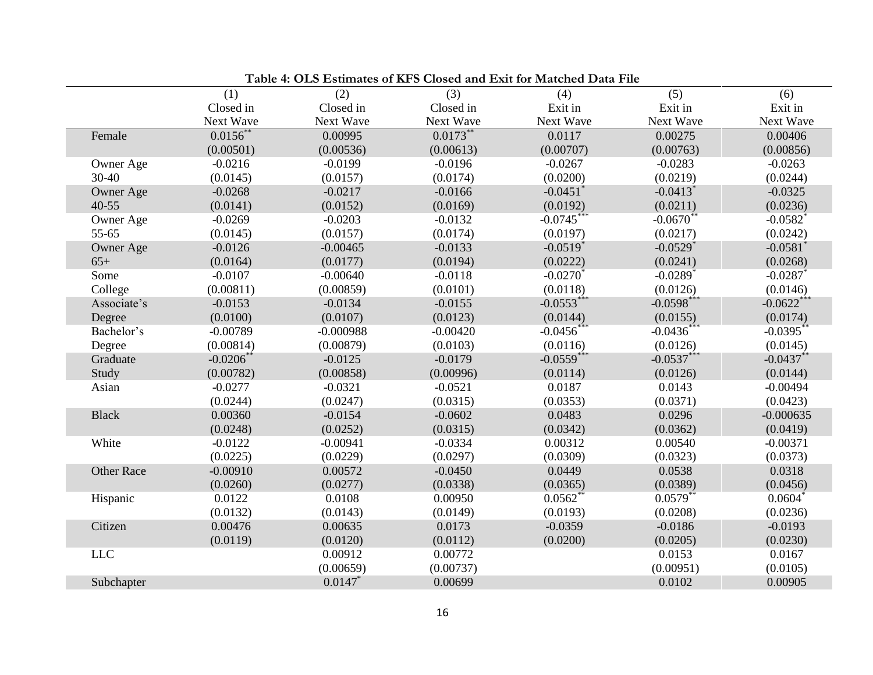|                   |              | Table 4. Old listiniales of KFS Closed and limit for materied Data I ne |            |                        |                        |                        |
|-------------------|--------------|-------------------------------------------------------------------------|------------|------------------------|------------------------|------------------------|
|                   | (1)          | (2)                                                                     | (3)        | (4)                    | (5)                    | (6)                    |
|                   | Closed in    | Closed in                                                               | Closed in  | Exit in                | Exit in                | Exit in                |
|                   | Next Wave    | Next Wave                                                               | Next Wave  | Next Wave              | Next Wave              | Next Wave              |
| Female            | $0.0156$ *   | 0.00995                                                                 | $0.0173$ * | 0.0117                 | 0.00275                | 0.00406                |
|                   | (0.00501)    | (0.00536)                                                               | (0.00613)  | (0.00707)              | (0.00763)              | (0.00856)              |
| Owner Age         | $-0.0216$    | $-0.0199$                                                               | $-0.0196$  | $-0.0267$              | $-0.0283$              | $-0.0263$              |
| 30-40             | (0.0145)     | (0.0157)                                                                | (0.0174)   | (0.0200)               | (0.0219)               | (0.0244)               |
| Owner Age         | $-0.0268$    | $-0.0217$                                                               | $-0.0166$  | $-0.0451$ <sup>*</sup> | $-0.0413$ <sup>*</sup> | $-0.0325$              |
| $40 - 55$         | (0.0141)     | (0.0152)                                                                | (0.0169)   | (0.0192)               | (0.0211)               | (0.0236)               |
| Owner Age         | $-0.0269$    | $-0.0203$                                                               | $-0.0132$  | $-0.0745$ **           | $-0.0670$              | $-0.0582$ <sup>*</sup> |
| 55-65             | (0.0145)     | (0.0157)                                                                | (0.0174)   | (0.0197)               | (0.0217)               | (0.0242)               |
| Owner Age         | $-0.0126$    | $-0.00465$                                                              | $-0.0133$  | $-0.0519$ <sup>*</sup> | $-0.0529$ <sup>*</sup> | $-0.0581$ <sup>*</sup> |
| $65+$             | (0.0164)     | (0.0177)                                                                | (0.0194)   | (0.0222)               | (0.0241)               | (0.0268)               |
| Some              | $-0.0107$    | $-0.00640$                                                              | $-0.0118$  | $-0.0270$              | $-0.0289$ <sup>*</sup> | $-0.0287$ <sup>*</sup> |
| College           | (0.00811)    | (0.00859)                                                               | (0.0101)   | (0.0118)               | (0.0126)               | (0.0146)               |
| Associate's       | $-0.0153$    | $-0.0134$                                                               | $-0.0155$  | $-0.0553***$           | $-0.0598***$           | $-0.0622$ **           |
| Degree            | (0.0100)     | (0.0107)                                                                | (0.0123)   | (0.0144)               | (0.0155)               | (0.0174)               |
| Bachelor's        | $-0.00789$   | $-0.000988$                                                             | $-0.00420$ | $-0.0456$              | $-0.0436$ *            | $-0.0395$ <sup>*</sup> |
| Degree            | (0.00814)    | (0.00879)                                                               | (0.0103)   | (0.0116)               | (0.0126)               | (0.0145)               |
| Graduate          | $-0.0206$ ** | $-0.0125$                                                               | $-0.0179$  | $-0.0559$ ***          | $-0.0537***$           | $-0.0437$ **           |
| Study             | (0.00782)    | (0.00858)                                                               | (0.00996)  | (0.0114)               | (0.0126)               | (0.0144)               |
| Asian             | $-0.0277$    | $-0.0321$                                                               | $-0.0521$  | 0.0187                 | 0.0143                 | $-0.00494$             |
|                   | (0.0244)     | (0.0247)                                                                | (0.0315)   | (0.0353)               | (0.0371)               | (0.0423)               |
| <b>Black</b>      | 0.00360      | $-0.0154$                                                               | $-0.0602$  | 0.0483                 | 0.0296                 | $-0.000635$            |
|                   | (0.0248)     | (0.0252)                                                                | (0.0315)   | (0.0342)               | (0.0362)               | (0.0419)               |
| White             | $-0.0122$    | $-0.00941$                                                              | $-0.0334$  | 0.00312                | 0.00540                | $-0.00371$             |
|                   | (0.0225)     | (0.0229)                                                                | (0.0297)   | (0.0309)               | (0.0323)               | (0.0373)               |
| <b>Other Race</b> | $-0.00910$   | 0.00572                                                                 | $-0.0450$  | 0.0449                 | 0.0538                 | 0.0318                 |
|                   | (0.0260)     | (0.0277)                                                                | (0.0338)   | (0.0365)               | (0.0389)               | (0.0456)               |
| Hispanic          | 0.0122       | 0.0108                                                                  | 0.00950    | 0.0562                 | $0.0579$ **            | $0.0604^*$             |
|                   | (0.0132)     | (0.0143)                                                                | (0.0149)   | (0.0193)               | (0.0208)               | (0.0236)               |
| Citizen           | 0.00476      | 0.00635                                                                 | 0.0173     | $-0.0359$              | $-0.0186$              | $-0.0193$              |
|                   | (0.0119)     | (0.0120)                                                                | (0.0112)   | (0.0200)               | (0.0205)               | (0.0230)               |
| $LLC$             |              | 0.00912                                                                 | 0.00772    |                        | 0.0153                 | 0.0167                 |
|                   |              | (0.00659)                                                               | (0.00737)  |                        | (0.00951)              | (0.0105)               |
| Subchapter        |              | 0.0147                                                                  | 0.00699    |                        | 0.0102                 | 0.00905                |

**Table 4: OLS Estimates of KFS Closed and Exit for Matched Data File**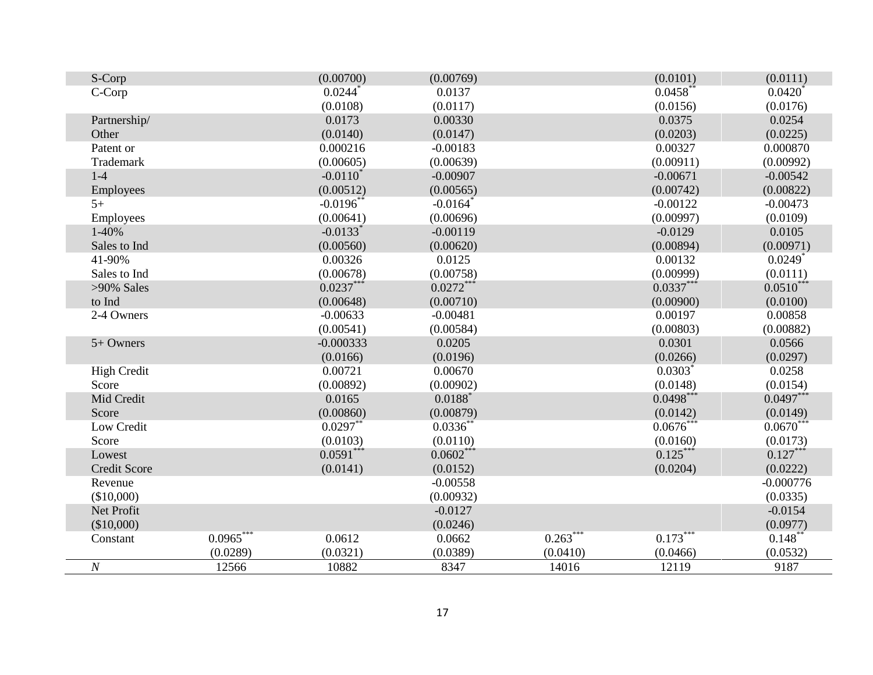| S-Corp              |             | (0.00700)              | (0.00769)              |            | (0.0101)    | (0.0111)              |
|---------------------|-------------|------------------------|------------------------|------------|-------------|-----------------------|
| C-Corp              |             | $0.0244$ <sup>*</sup>  | 0.0137                 |            | $0.0458$ ** | $0.0420*$             |
|                     |             | (0.0108)               | (0.0117)               |            | (0.0156)    | (0.0176)              |
| Partnership/        |             | 0.0173                 | 0.00330                |            | 0.0375      | 0.0254                |
| Other               |             | (0.0140)               | (0.0147)               |            | (0.0203)    | (0.0225)              |
| Patent or           |             | 0.000216               | $-0.00183$             |            | 0.00327     | 0.000870              |
| Trademark           |             | (0.00605)              | (0.00639)              |            | (0.00911)   | (0.00992)             |
| $1-4$               |             | $-0.0110^*$            | $-0.00907$             |            | $-0.00671$  | $-0.00542$            |
| Employees           |             | (0.00512)              | (0.00565)              |            | (0.00742)   | (0.00822)             |
| $5+$                |             | $-0.0196$ **           | $-0.0164$ <sup>*</sup> |            | $-0.00122$  | $-0.00473$            |
| Employees           |             | (0.00641)              | (0.00696)              |            | (0.00997)   | (0.0109)              |
| 1-40%               |             | $-0.0133$ <sup>*</sup> | $-0.00119$             |            | $-0.0129$   | 0.0105                |
| Sales to Ind        |             | (0.00560)              | (0.00620)              |            | (0.00894)   | (0.00971)             |
| 41-90%              |             | 0.00326                | 0.0125                 |            | 0.00132     | $0.0249$ <sup>*</sup> |
| Sales to Ind        |             | (0.00678)              | (0.00758)              |            | (0.00999)   | (0.0111)              |
| $>90\%$ Sales       |             | $0.0237***$            | $0.0272**$             |            | $0.0337***$ | $0.0510***$           |
| to Ind              |             | (0.00648)              | (0.00710)              |            | (0.00900)   | (0.0100)              |
| 2-4 Owners          |             | $-0.00633$             | $-0.00481$             |            | 0.00197     | 0.00858               |
|                     |             | (0.00541)              | (0.00584)              |            | (0.00803)   | (0.00882)             |
| 5+ Owners           |             | $-0.000333$            | 0.0205                 |            | 0.0301      | 0.0566                |
|                     |             | (0.0166)               | (0.0196)               |            | (0.0266)    | (0.0297)              |
| <b>High Credit</b>  |             | 0.00721                | 0.00670                |            | $0.0303*$   | 0.0258                |
| Score               |             | (0.00892)              | (0.00902)              |            | (0.0148)    | (0.0154)              |
| Mid Credit          |             | 0.0165                 | $0.0188*$              |            | $0.0498***$ | $0.0497***$           |
| Score               |             | (0.00860)              | (0.00879)              |            | (0.0142)    | (0.0149)              |
| Low Credit          |             | $0.0297**$             | $0.0336^{**}$          |            | $0.0676***$ | $0.0670***$           |
| Score               |             | (0.0103)               | (0.0110)               |            | (0.0160)    | (0.0173)              |
| Lowest              |             | $0.0591***$            | $0.0602***$            |            | $0.125***$  | $0.127***$            |
| <b>Credit Score</b> |             | (0.0141)               | (0.0152)               |            | (0.0204)    | (0.0222)              |
| Revenue             |             |                        | $-0.00558$             |            |             | $-0.000776$           |
| (\$10,000)          |             |                        | (0.00932)              |            |             | (0.0335)              |
| Net Profit          |             |                        | $-0.0127$              |            |             | $-0.0154$             |
| (\$10,000)          |             |                        | (0.0246)               |            |             | (0.0977)              |
| Constant            | $0.0965***$ | 0.0612                 | 0.0662                 | $0.263***$ | $0.173***$  | $0.148$ **            |
|                     | (0.0289)    | (0.0321)               | (0.0389)               | (0.0410)   | (0.0466)    | (0.0532)              |
| $\cal N$            | 12566       | 10882                  | 8347                   | 14016      | 12119       | 9187                  |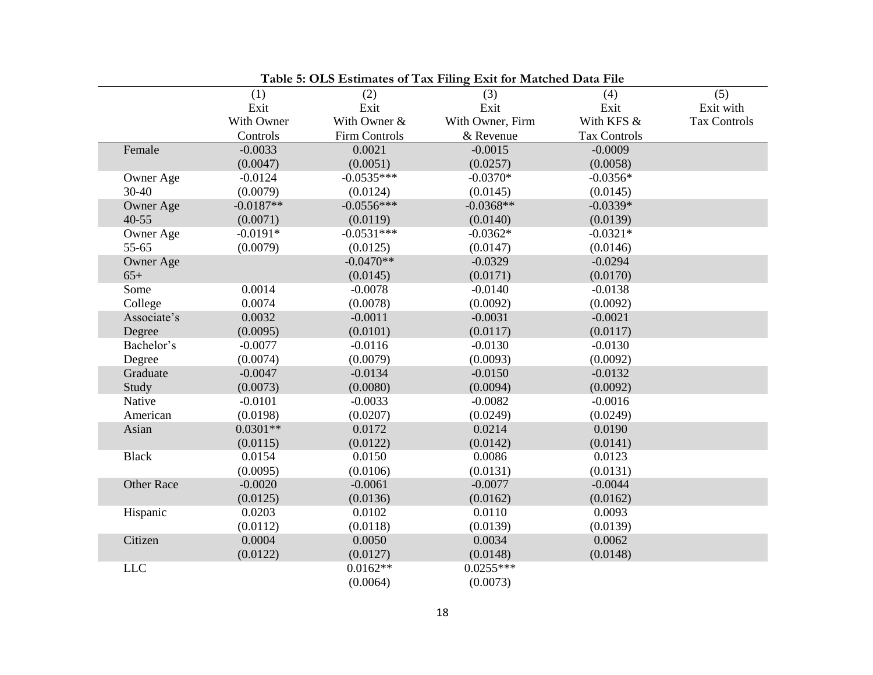| Table 5: OLS Estimates of Tax Filing Exit for Matched Data File |             |               |                  |                     |                     |  |
|-----------------------------------------------------------------|-------------|---------------|------------------|---------------------|---------------------|--|
|                                                                 | (1)         | (2)           | (3)              | (4)                 | (5)                 |  |
|                                                                 | Exit        | Exit          | Exit             | Exit                | Exit with           |  |
|                                                                 | With Owner  | With Owner &  | With Owner, Firm | With KFS &          | <b>Tax Controls</b> |  |
|                                                                 | Controls    | Firm Controls | & Revenue        | <b>Tax Controls</b> |                     |  |
| Female                                                          | $-0.0033$   | 0.0021        | $-0.0015$        | $-0.0009$           |                     |  |
|                                                                 | (0.0047)    | (0.0051)      | (0.0257)         | (0.0058)            |                     |  |
| Owner Age                                                       | $-0.0124$   | $-0.0535***$  | $-0.0370*$       | $-0.0356*$          |                     |  |
| 30-40                                                           | (0.0079)    | (0.0124)      | (0.0145)         | (0.0145)            |                     |  |
| Owner Age                                                       | $-0.0187**$ | $-0.0556***$  | $-0.0368**$      | $-0.0339*$          |                     |  |
| $40 - 55$                                                       | (0.0071)    | (0.0119)      | (0.0140)         | (0.0139)            |                     |  |
| Owner Age                                                       | $-0.0191*$  | $-0.0531***$  | $-0.0362*$       | $-0.0321*$          |                     |  |
| 55-65                                                           | (0.0079)    | (0.0125)      | (0.0147)         | (0.0146)            |                     |  |
| Owner Age                                                       |             | $-0.0470**$   | $-0.0329$        | $-0.0294$           |                     |  |
| $65+$                                                           |             | (0.0145)      | (0.0171)         | (0.0170)            |                     |  |
| Some                                                            | 0.0014      | $-0.0078$     | $-0.0140$        | $-0.0138$           |                     |  |
| College                                                         | 0.0074      | (0.0078)      | (0.0092)         | (0.0092)            |                     |  |
| Associate's                                                     | 0.0032      | $-0.0011$     | $-0.0031$        | $-0.0021$           |                     |  |
| Degree                                                          | (0.0095)    | (0.0101)      | (0.0117)         | (0.0117)            |                     |  |
| Bachelor's                                                      | $-0.0077$   | $-0.0116$     | $-0.0130$        | $-0.0130$           |                     |  |
| Degree                                                          | (0.0074)    | (0.0079)      | (0.0093)         | (0.0092)            |                     |  |
| Graduate                                                        | $-0.0047$   | $-0.0134$     | $-0.0150$        | $-0.0132$           |                     |  |
| Study                                                           | (0.0073)    | (0.0080)      | (0.0094)         | (0.0092)            |                     |  |
| Native                                                          | $-0.0101$   | $-0.0033$     | $-0.0082$        | $-0.0016$           |                     |  |
| American                                                        | (0.0198)    | (0.0207)      | (0.0249)         | (0.0249)            |                     |  |
| Asian                                                           | $0.0301**$  | 0.0172        | 0.0214           | 0.0190              |                     |  |
|                                                                 | (0.0115)    | (0.0122)      | (0.0142)         | (0.0141)            |                     |  |
| <b>Black</b>                                                    | 0.0154      | 0.0150        | 0.0086           | 0.0123              |                     |  |
|                                                                 | (0.0095)    | (0.0106)      | (0.0131)         | (0.0131)            |                     |  |
| <b>Other Race</b>                                               | $-0.0020$   | $-0.0061$     | $-0.0077$        | $-0.0044$           |                     |  |
|                                                                 | (0.0125)    | (0.0136)      | (0.0162)         | (0.0162)            |                     |  |
| Hispanic                                                        | 0.0203      | 0.0102        | 0.0110           | 0.0093              |                     |  |
|                                                                 | (0.0112)    | (0.0118)      | (0.0139)         | (0.0139)            |                     |  |
| Citizen                                                         | 0.0004      | 0.0050        | 0.0034           | 0.0062              |                     |  |
|                                                                 | (0.0122)    | (0.0127)      | (0.0148)         | (0.0148)            |                     |  |
| $LLC$                                                           |             | $0.0162**$    | $0.0255***$      |                     |                     |  |
|                                                                 |             | (0.0064)      | (0.0073)         |                     |                     |  |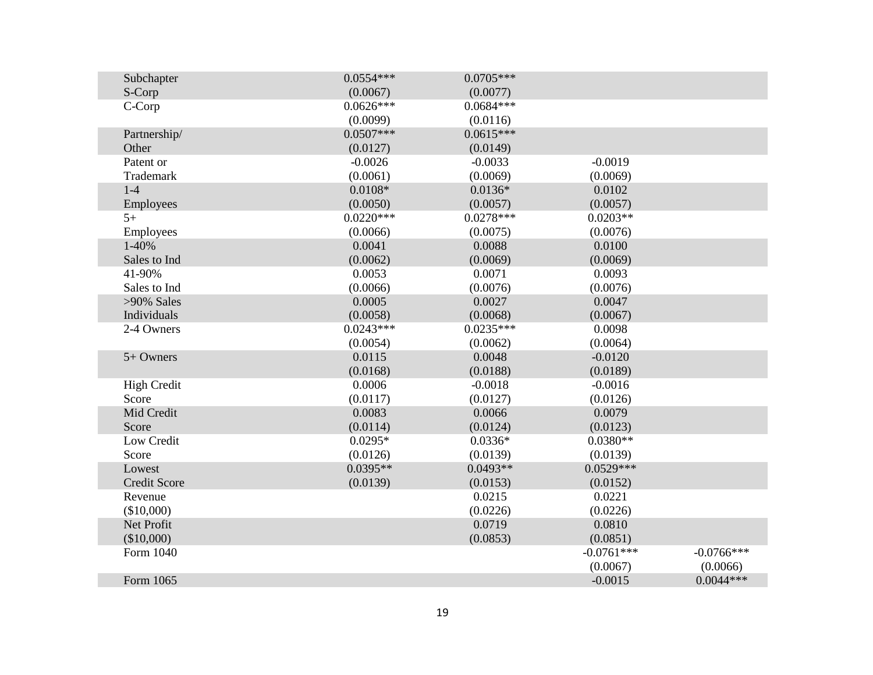| Subchapter          | $0.0554***$ | $0.0705***$ |              |              |
|---------------------|-------------|-------------|--------------|--------------|
| S-Corp              | (0.0067)    | (0.0077)    |              |              |
| C-Corp              | $0.0626***$ | $0.0684***$ |              |              |
|                     | (0.0099)    | (0.0116)    |              |              |
| Partnership/        | $0.0507***$ | $0.0615***$ |              |              |
| Other               | (0.0127)    | (0.0149)    |              |              |
| Patent or           | $-0.0026$   | $-0.0033$   | $-0.0019$    |              |
| Trademark           | (0.0061)    | (0.0069)    | (0.0069)     |              |
| $1-4$               | $0.0108*$   | $0.0136*$   | 0.0102       |              |
| Employees           | (0.0050)    | (0.0057)    | (0.0057)     |              |
| $5+$                | $0.0220***$ | $0.0278***$ | $0.0203**$   |              |
| Employees           | (0.0066)    | (0.0075)    | (0.0076)     |              |
| 1-40%               | 0.0041      | 0.0088      | 0.0100       |              |
| Sales to Ind        | (0.0062)    | (0.0069)    | (0.0069)     |              |
| 41-90%              | 0.0053      | 0.0071      | 0.0093       |              |
| Sales to Ind        | (0.0066)    | (0.0076)    | (0.0076)     |              |
| $>90\%$ Sales       | 0.0005      | 0.0027      | 0.0047       |              |
| Individuals         | (0.0058)    | (0.0068)    | (0.0067)     |              |
| 2-4 Owners          | $0.0243***$ | $0.0235***$ | 0.0098       |              |
|                     | (0.0054)    | (0.0062)    | (0.0064)     |              |
| 5+ Owners           | 0.0115      | 0.0048      | $-0.0120$    |              |
|                     | (0.0168)    | (0.0188)    | (0.0189)     |              |
| <b>High Credit</b>  | 0.0006      | $-0.0018$   | $-0.0016$    |              |
| Score               | (0.0117)    | (0.0127)    | (0.0126)     |              |
| Mid Credit          | 0.0083      | 0.0066      | 0.0079       |              |
| Score               | (0.0114)    | (0.0124)    | (0.0123)     |              |
| Low Credit          | $0.0295*$   | $0.0336*$   | $0.0380**$   |              |
| Score               | (0.0126)    | (0.0139)    | (0.0139)     |              |
| Lowest              | $0.0395**$  | $0.0493**$  | $0.0529***$  |              |
| <b>Credit Score</b> | (0.0139)    | (0.0153)    | (0.0152)     |              |
| Revenue             |             | 0.0215      | 0.0221       |              |
| (\$10,000)          |             | (0.0226)    | (0.0226)     |              |
| Net Profit          |             | 0.0719      | 0.0810       |              |
| (\$10,000)          |             | (0.0853)    | (0.0851)     |              |
| Form 1040           |             |             | $-0.0761***$ | $-0.0766***$ |
|                     |             |             | (0.0067)     | (0.0066)     |
| Form 1065           |             |             | $-0.0015$    | $0.0044***$  |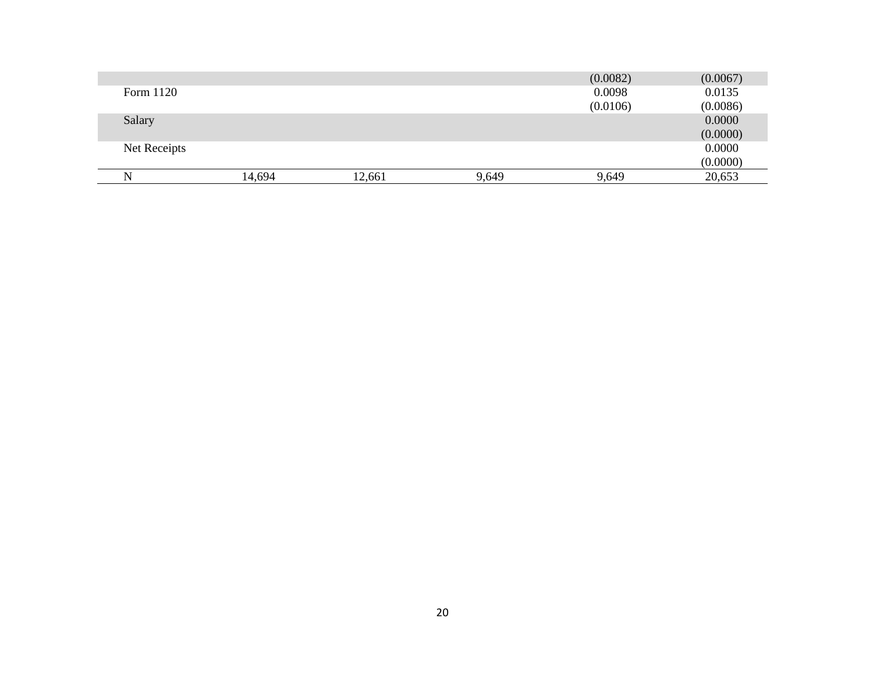|              |        |        |       | (0.0082) | (0.0067) |
|--------------|--------|--------|-------|----------|----------|
| Form 1120    |        |        |       | 0.0098   | 0.0135   |
|              |        |        |       | (0.0106) | (0.0086) |
| Salary       |        |        |       |          | 0.0000   |
|              |        |        |       |          | (0.0000) |
| Net Receipts |        |        |       |          | 0.0000   |
|              |        |        |       |          | (0.0000) |
|              | 14,694 | 12,661 | 9,649 | 9,649    | 20,653   |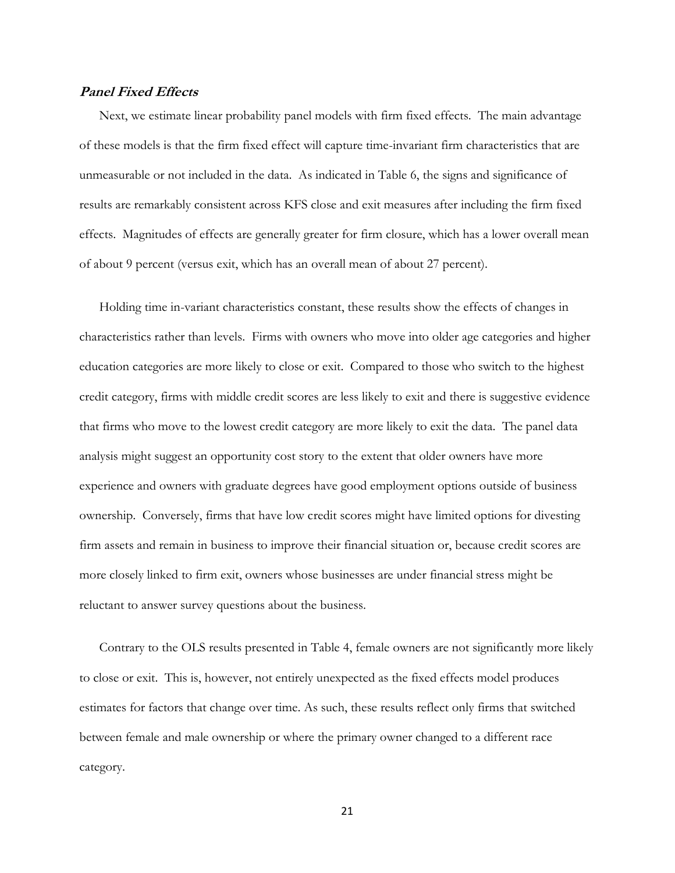# **Panel Fixed Effects**

Next, we estimate linear probability panel models with firm fixed effects. The main advantage of these models is that the firm fixed effect will capture time-invariant firm characteristics that are unmeasurable or not included in the data. As indicated in Table 6, the signs and significance of results are remarkably consistent across KFS close and exit measures after including the firm fixed effects. Magnitudes of effects are generally greater for firm closure, which has a lower overall mean of about 9 percent (versus exit, which has an overall mean of about 27 percent).

Holding time in-variant characteristics constant, these results show the effects of changes in characteristics rather than levels. Firms with owners who move into older age categories and higher education categories are more likely to close or exit. Compared to those who switch to the highest credit category, firms with middle credit scores are less likely to exit and there is suggestive evidence that firms who move to the lowest credit category are more likely to exit the data. The panel data analysis might suggest an opportunity cost story to the extent that older owners have more experience and owners with graduate degrees have good employment options outside of business ownership. Conversely, firms that have low credit scores might have limited options for divesting firm assets and remain in business to improve their financial situation or, because credit scores are more closely linked to firm exit, owners whose businesses are under financial stress might be reluctant to answer survey questions about the business.

Contrary to the OLS results presented in Table 4, female owners are not significantly more likely to close or exit. This is, however, not entirely unexpected as the fixed effects model produces estimates for factors that change over time. As such, these results reflect only firms that switched between female and male ownership or where the primary owner changed to a different race category.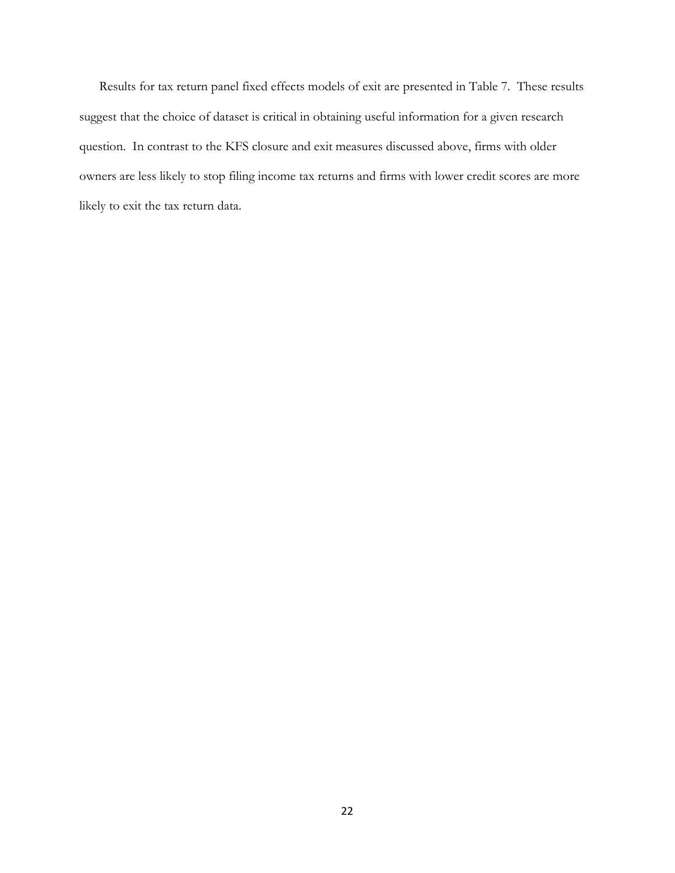Results for tax return panel fixed effects models of exit are presented in Table 7. These results suggest that the choice of dataset is critical in obtaining useful information for a given research question. In contrast to the KFS closure and exit measures discussed above, firms with older owners are less likely to stop filing income tax returns and firms with lower credit scores are more likely to exit the tax return data.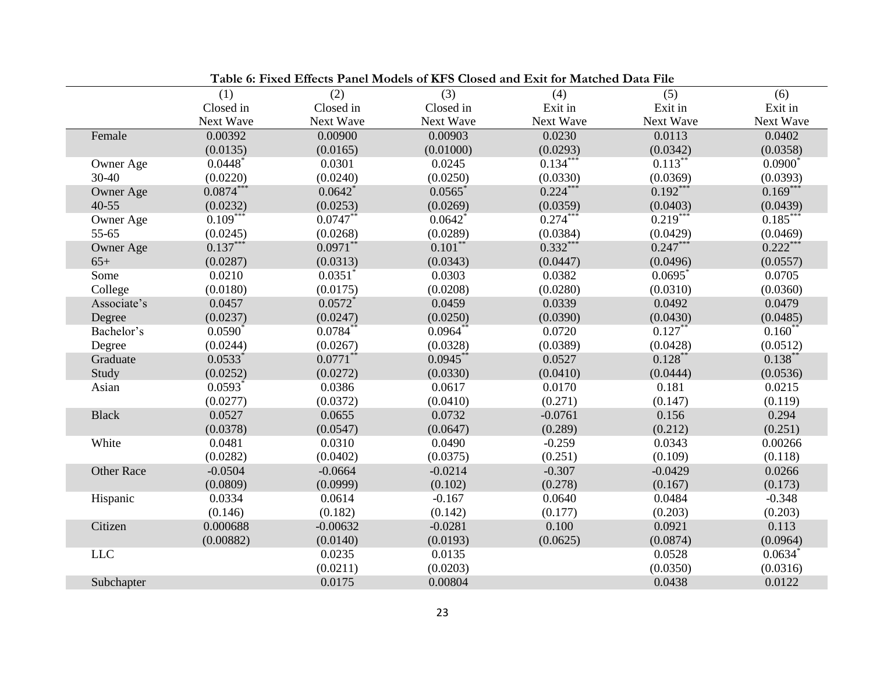| Table 6: Fixed Effects Panel Models of KFS Closed and Exit for Matched Data File |                       |                       |                       |            |            |              |  |
|----------------------------------------------------------------------------------|-----------------------|-----------------------|-----------------------|------------|------------|--------------|--|
|                                                                                  | (1)                   | (2)                   | (3)                   | (4)        | (5)        | (6)          |  |
|                                                                                  | Closed in             | Closed in             | Closed in             | Exit in    | Exit in    | Exit in      |  |
|                                                                                  | Next Wave             | Next Wave             | Next Wave             | Next Wave  | Next Wave  | Next Wave    |  |
| Female                                                                           | 0.00392               | 0.00900               | 0.00903               | 0.0230     | 0.0113     | 0.0402       |  |
|                                                                                  | (0.0135)              | (0.0165)              | (0.01000)             | (0.0293)   | (0.0342)   | (0.0358)     |  |
| Owner Age                                                                        | 0.0448                | 0.0301                | 0.0245                | $0.134***$ | $0.113$ ** | $0.0900^*$   |  |
| 30-40                                                                            | (0.0220)              | (0.0240)              | (0.0250)              | (0.0330)   | (0.0369)   | (0.0393)     |  |
| Owner Age                                                                        | $0.0874***$           | 0.0642                | $0.0565$ <sup>*</sup> | $0.224***$ | $0.192***$ | $0.169***$   |  |
| $40 - 55$                                                                        | (0.0232)              | (0.0253)              | (0.0269)              | (0.0359)   | (0.0403)   | (0.0439)     |  |
| Owner Age                                                                        | $0.109$ **            | $0.0747**$            | 0.0642                | $0.274***$ | $0.219**$  | $0.185***$   |  |
| 55-65                                                                            | (0.0245)              | (0.0268)              | (0.0289)              | (0.0384)   | (0.0429)   | (0.0469)     |  |
| Owner Age                                                                        | $0.137***$            | $0.0971$ **           | $0.101***$            | $0.332***$ | $0.247***$ | $0.222***$   |  |
| $65+$                                                                            | (0.0287)              | (0.0313)              | (0.0343)              | (0.0447)   | (0.0496)   | (0.0557)     |  |
| Some                                                                             | 0.0210                | 0.0351                | 0.0303                | 0.0382     | $0.0695$ * | 0.0705       |  |
| College                                                                          | (0.0180)              | (0.0175)              | (0.0208)              | (0.0280)   | (0.0310)   | (0.0360)     |  |
| Associate's                                                                      | 0.0457                | $0.0572$ <sup>*</sup> | 0.0459                | 0.0339     | 0.0492     | 0.0479       |  |
| Degree                                                                           | (0.0237)              | (0.0247)              | (0.0250)              | (0.0390)   | (0.0430)   | (0.0485)     |  |
| Bachelor's                                                                       | $0.0590^*$            | $0.0784$ **           | $0.0964$ **           | 0.0720     | $0.127$ ** | $0.160^{**}$ |  |
| Degree                                                                           | (0.0244)              | (0.0267)              | (0.0328)              | (0.0389)   | (0.0428)   | (0.0512)     |  |
| Graduate                                                                         | $0.0533*$             | $0.0771$ **           | $0.0945***$           | 0.0527     | $0.128***$ | $0.138***$   |  |
| Study                                                                            | (0.0252)              | (0.0272)              | (0.0330)              | (0.0410)   | (0.0444)   | (0.0536)     |  |
| Asian                                                                            | $0.0593$ <sup>*</sup> | 0.0386                | 0.0617                | 0.0170     | 0.181      | 0.0215       |  |
|                                                                                  | (0.0277)              | (0.0372)              | (0.0410)              | (0.271)    | (0.147)    | (0.119)      |  |
| <b>Black</b>                                                                     | 0.0527                | 0.0655                | 0.0732                | $-0.0761$  | 0.156      | 0.294        |  |
|                                                                                  | (0.0378)              | (0.0547)              | (0.0647)              | (0.289)    | (0.212)    | (0.251)      |  |
| White                                                                            | 0.0481                | 0.0310                | 0.0490                | $-0.259$   | 0.0343     | 0.00266      |  |
|                                                                                  | (0.0282)              | (0.0402)              | (0.0375)              | (0.251)    | (0.109)    | (0.118)      |  |
| <b>Other Race</b>                                                                | $-0.0504$             | $-0.0664$             | $-0.0214$             | $-0.307$   | $-0.0429$  | 0.0266       |  |
|                                                                                  | (0.0809)              | (0.0999)              | (0.102)               | (0.278)    | (0.167)    | (0.173)      |  |
| Hispanic                                                                         | 0.0334                | 0.0614                | $-0.167$              | 0.0640     | 0.0484     | $-0.348$     |  |
|                                                                                  | (0.146)               | (0.182)               | (0.142)               | (0.177)    | (0.203)    | (0.203)      |  |
| Citizen                                                                          | 0.000688              | $-0.00632$            | $-0.0281$             | 0.100      | 0.0921     | 0.113        |  |
|                                                                                  | (0.00882)             | (0.0140)              | (0.0193)              | (0.0625)   | (0.0874)   | (0.0964)     |  |
| LLC                                                                              |                       | 0.0235                | 0.0135                |            | 0.0528     | $0.0634$ *   |  |
|                                                                                  |                       | (0.0211)              | (0.0203)              |            | (0.0350)   | (0.0316)     |  |
| Subchapter                                                                       |                       | 0.0175                | 0.00804               |            | 0.0438     | 0.0122       |  |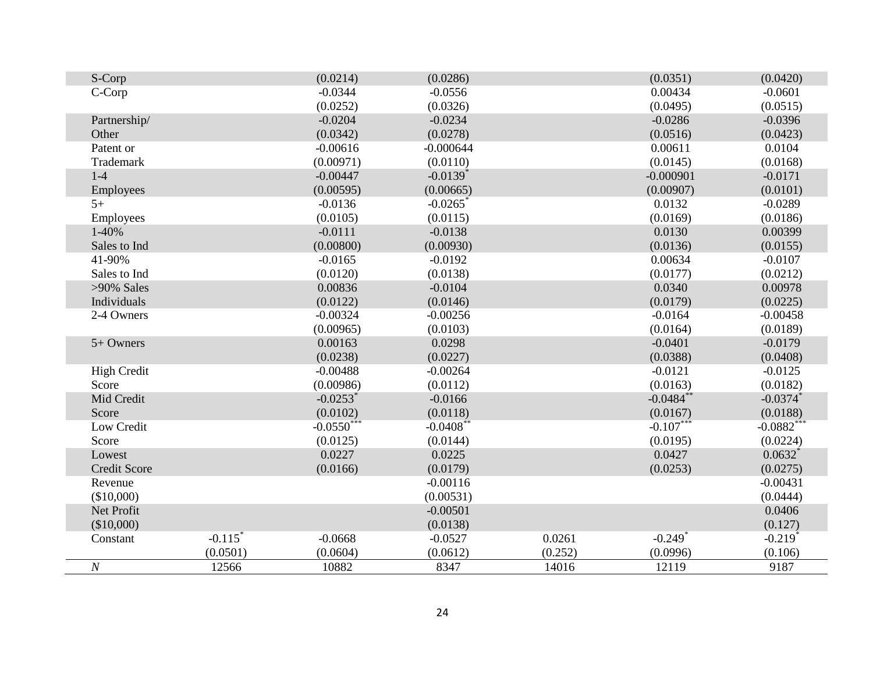| S-Corp              |                       | (0.0214)               | (0.0286)               |         | (0.0351)              | (0.0420)              |
|---------------------|-----------------------|------------------------|------------------------|---------|-----------------------|-----------------------|
| C-Corp              |                       | $-0.0344$              | $-0.0556$              |         | 0.00434               | $-0.0601$             |
|                     |                       | (0.0252)               | (0.0326)               |         | (0.0495)              | (0.0515)              |
| Partnership/        |                       | $-0.0204$              | $-0.0234$              |         | $-0.0286$             | $-0.0396$             |
| Other               |                       | (0.0342)               | (0.0278)               |         | (0.0516)              | (0.0423)              |
| Patent or           |                       | $-0.00616$             | $-0.000644$            |         | 0.00611               | 0.0104                |
| Trademark           |                       | (0.00971)              | (0.0110)               |         | (0.0145)              | (0.0168)              |
| $1-4$               |                       | $-0.00447$             | $-0.0139$ <sup>*</sup> |         | $-0.000901$           | $-0.0171$             |
| Employees           |                       | (0.00595)              | (0.00665)              |         | (0.00907)             | (0.0101)              |
| $5+$                |                       | $-0.0136$              | $-0.0265$ <sup>*</sup> |         | 0.0132                | $-0.0289$             |
| Employees           |                       | (0.0105)               | (0.0115)               |         | (0.0169)              | (0.0186)              |
| 1-40%               |                       | $-0.0111$              | $-0.0138$              |         | 0.0130                | 0.00399               |
| Sales to Ind        |                       | (0.00800)              | (0.00930)              |         | (0.0136)              | (0.0155)              |
| 41-90%              |                       | $-0.0165$              | $-0.0192$              |         | 0.00634               | $-0.0107$             |
| Sales to Ind        |                       | (0.0120)               | (0.0138)               |         | (0.0177)              | (0.0212)              |
| >90% Sales          |                       | 0.00836                | $-0.0104$              |         | 0.0340                | 0.00978               |
| Individuals         |                       | (0.0122)               | (0.0146)               |         | (0.0179)              | (0.0225)              |
| 2-4 Owners          |                       | $-0.00324$             | $-0.00256$             |         | $-0.0164$             | $-0.00458$            |
|                     |                       | (0.00965)              | (0.0103)               |         | (0.0164)              | (0.0189)              |
| 5+ Owners           |                       | 0.00163                | 0.0298                 |         | $-0.0401$             | $-0.0179$             |
|                     |                       | (0.0238)               | (0.0227)               |         | (0.0388)              | (0.0408)              |
| <b>High Credit</b>  |                       | $-0.00488$             | $-0.00264$             |         | $-0.0121$             | $-0.0125$             |
| Score               |                       | (0.00986)              | (0.0112)               |         | (0.0163)              | (0.0182)              |
| Mid Credit          |                       | $-0.0253$ <sup>*</sup> | $-0.0166$              |         | $-0.0484$ *           | $-0.0374$ *           |
| Score               |                       | (0.0102)               | (0.0118)               |         | (0.0167)              | (0.0188)              |
| Low Credit          |                       | $-0.0550^*$            | $-0.0408$ <sup>*</sup> |         | $-0.107***$           | $-0.0882$ *           |
| Score               |                       | (0.0125)               | (0.0144)               |         | (0.0195)              | (0.0224)              |
| Lowest              |                       | 0.0227                 | 0.0225                 |         | 0.0427                | $0.0632$ *            |
| <b>Credit Score</b> |                       | (0.0166)               | (0.0179)               |         | (0.0253)              | (0.0275)              |
| Revenue             |                       |                        | $-0.00116$             |         |                       | $-0.00431$            |
| (\$10,000)          |                       |                        | (0.00531)              |         |                       | (0.0444)              |
| Net Profit          |                       |                        | $-0.00501$             |         |                       | 0.0406                |
| (\$10,000)          |                       |                        | (0.0138)               |         |                       | (0.127)               |
| Constant            | $-0.115$ <sup>*</sup> | $-0.0668$              | $-0.0527$              | 0.0261  | $-0.249$ <sup>*</sup> | $-0.219$ <sup>*</sup> |
|                     | (0.0501)              | (0.0604)               | (0.0612)               | (0.252) | (0.0996)              | (0.106)               |
| $\cal N$            | 12566                 | 10882                  | 8347                   | 14016   | 12119                 | 9187                  |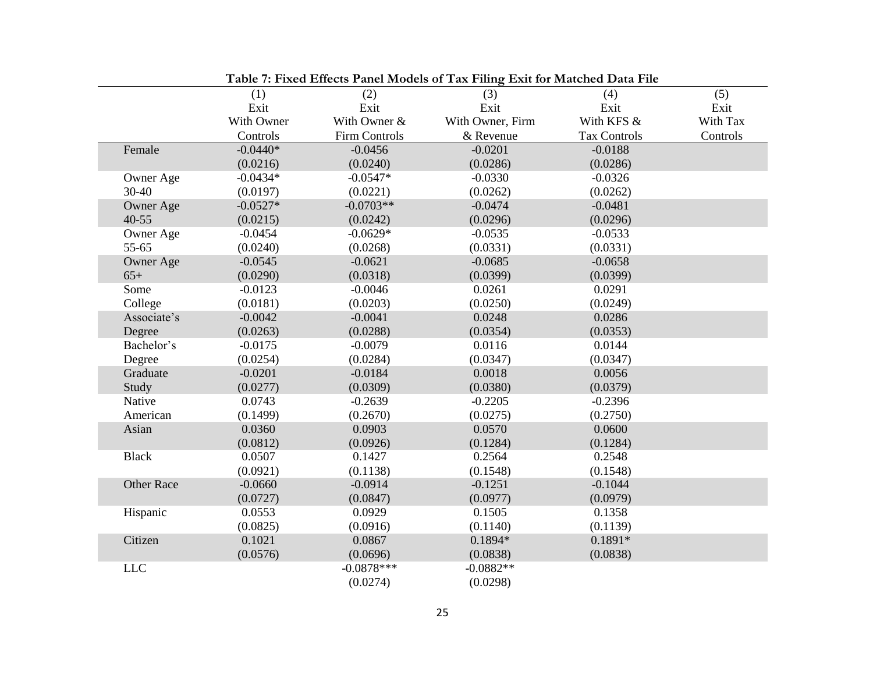| Table 7: Fixed Effects Panel Models of Tax Filing Exit for Matched Data File |            |               |                  |                     |          |  |  |
|------------------------------------------------------------------------------|------------|---------------|------------------|---------------------|----------|--|--|
|                                                                              | (1)        | (2)           | (3)              | (4)                 | (5)      |  |  |
|                                                                              | Exit       | Exit          | Exit             | Exit                | Exit     |  |  |
|                                                                              | With Owner | With Owner &  | With Owner, Firm | With KFS &          | With Tax |  |  |
|                                                                              | Controls   | Firm Controls | & Revenue        | <b>Tax Controls</b> | Controls |  |  |
| Female                                                                       | $-0.0440*$ | $-0.0456$     | $-0.0201$        | $-0.0188$           |          |  |  |
|                                                                              | (0.0216)   | (0.0240)      | (0.0286)         | (0.0286)            |          |  |  |
| Owner Age                                                                    | $-0.0434*$ | $-0.0547*$    | $-0.0330$        | $-0.0326$           |          |  |  |
| 30-40                                                                        | (0.0197)   | (0.0221)      | (0.0262)         | (0.0262)            |          |  |  |
| Owner Age                                                                    | $-0.0527*$ | $-0.0703**$   | $-0.0474$        | $-0.0481$           |          |  |  |
| $40 - 55$                                                                    | (0.0215)   | (0.0242)      | (0.0296)         | (0.0296)            |          |  |  |
| Owner Age                                                                    | $-0.0454$  | $-0.0629*$    | $-0.0535$        | $-0.0533$           |          |  |  |
| 55-65                                                                        | (0.0240)   | (0.0268)      | (0.0331)         | (0.0331)            |          |  |  |
| Owner Age                                                                    | $-0.0545$  | $-0.0621$     | $-0.0685$        | $-0.0658$           |          |  |  |
| $65+$                                                                        | (0.0290)   | (0.0318)      | (0.0399)         | (0.0399)            |          |  |  |
| Some                                                                         | $-0.0123$  | $-0.0046$     | 0.0261           | 0.0291              |          |  |  |
| College                                                                      | (0.0181)   | (0.0203)      | (0.0250)         | (0.0249)            |          |  |  |
| Associate's                                                                  | $-0.0042$  | $-0.0041$     | 0.0248           | 0.0286              |          |  |  |
| Degree                                                                       | (0.0263)   | (0.0288)      | (0.0354)         | (0.0353)            |          |  |  |
| Bachelor's                                                                   | $-0.0175$  | $-0.0079$     | 0.0116           | 0.0144              |          |  |  |
| Degree                                                                       | (0.0254)   | (0.0284)      | (0.0347)         | (0.0347)            |          |  |  |
| Graduate                                                                     | $-0.0201$  | $-0.0184$     | 0.0018           | 0.0056              |          |  |  |
| Study                                                                        | (0.0277)   | (0.0309)      | (0.0380)         | (0.0379)            |          |  |  |
| Native                                                                       | 0.0743     | $-0.2639$     | $-0.2205$        | $-0.2396$           |          |  |  |
| American                                                                     | (0.1499)   | (0.2670)      | (0.0275)         | (0.2750)            |          |  |  |
| Asian                                                                        | 0.0360     | 0.0903        | 0.0570           | 0.0600              |          |  |  |
|                                                                              | (0.0812)   | (0.0926)      | (0.1284)         | (0.1284)            |          |  |  |
| <b>Black</b>                                                                 | 0.0507     | 0.1427        | 0.2564           | 0.2548              |          |  |  |
|                                                                              | (0.0921)   | (0.1138)      | (0.1548)         | (0.1548)            |          |  |  |
| <b>Other Race</b>                                                            | $-0.0660$  | $-0.0914$     | $-0.1251$        | $-0.1044$           |          |  |  |
|                                                                              | (0.0727)   | (0.0847)      | (0.0977)         | (0.0979)            |          |  |  |
| Hispanic                                                                     | 0.0553     | 0.0929        | 0.1505           | 0.1358              |          |  |  |
|                                                                              | (0.0825)   | (0.0916)      | (0.1140)         | (0.1139)            |          |  |  |
| Citizen                                                                      | 0.1021     | 0.0867        | $0.1894*$        | $0.1891*$           |          |  |  |
|                                                                              | (0.0576)   | (0.0696)      | (0.0838)         | (0.0838)            |          |  |  |
| $LLC$                                                                        |            | $-0.0878***$  | $-0.0882**$      |                     |          |  |  |
|                                                                              |            | (0.0274)      | (0.0298)         |                     |          |  |  |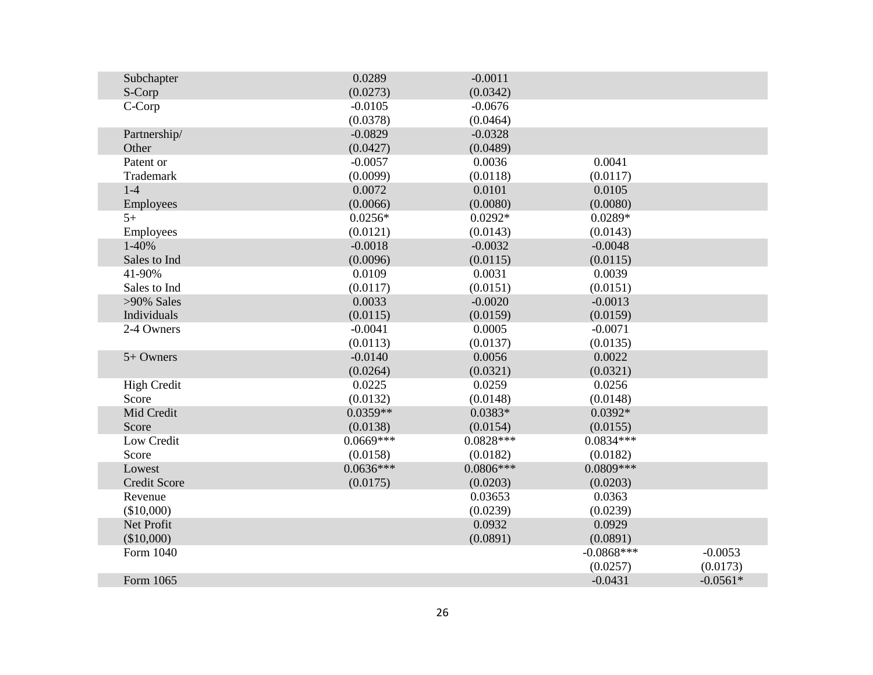| Subchapter          | 0.0289      | $-0.0011$   |              |            |
|---------------------|-------------|-------------|--------------|------------|
| S-Corp              | (0.0273)    | (0.0342)    |              |            |
| C-Corp              | $-0.0105$   | $-0.0676$   |              |            |
|                     | (0.0378)    | (0.0464)    |              |            |
| Partnership/        | $-0.0829$   | $-0.0328$   |              |            |
| Other               | (0.0427)    | (0.0489)    |              |            |
| Patent or           | $-0.0057$   | 0.0036      | 0.0041       |            |
| Trademark           | (0.0099)    | (0.0118)    | (0.0117)     |            |
| $1-4$               | 0.0072      | 0.0101      | 0.0105       |            |
| Employees           | (0.0066)    | (0.0080)    | (0.0080)     |            |
| $5+$                | $0.0256*$   | $0.0292*$   | $0.0289*$    |            |
| Employees           | (0.0121)    | (0.0143)    | (0.0143)     |            |
| 1-40%               | $-0.0018$   | $-0.0032$   | $-0.0048$    |            |
| Sales to Ind        | (0.0096)    | (0.0115)    | (0.0115)     |            |
| 41-90%              | 0.0109      | 0.0031      | 0.0039       |            |
| Sales to Ind        | (0.0117)    | (0.0151)    | (0.0151)     |            |
| $>90\%$ Sales       | 0.0033      | $-0.0020$   | $-0.0013$    |            |
| Individuals         | (0.0115)    | (0.0159)    | (0.0159)     |            |
| 2-4 Owners          | $-0.0041$   | 0.0005      | $-0.0071$    |            |
|                     | (0.0113)    | (0.0137)    | (0.0135)     |            |
| 5+ Owners           | $-0.0140$   | 0.0056      | 0.0022       |            |
|                     | (0.0264)    | (0.0321)    | (0.0321)     |            |
| <b>High Credit</b>  | 0.0225      | 0.0259      | 0.0256       |            |
| Score               | (0.0132)    | (0.0148)    | (0.0148)     |            |
| Mid Credit          | $0.0359**$  | $0.0383*$   | $0.0392*$    |            |
| Score               | (0.0138)    | (0.0154)    | (0.0155)     |            |
| Low Credit          | $0.0669***$ | $0.0828***$ | $0.0834***$  |            |
| Score               | (0.0158)    | (0.0182)    | (0.0182)     |            |
| Lowest              | $0.0636***$ | $0.0806***$ | 0.0809 ***   |            |
| <b>Credit Score</b> | (0.0175)    | (0.0203)    | (0.0203)     |            |
| Revenue             |             | 0.03653     | 0.0363       |            |
| (\$10,000)          |             | (0.0239)    | (0.0239)     |            |
| Net Profit          |             | 0.0932      | 0.0929       |            |
| (\$10,000)          |             | (0.0891)    | (0.0891)     |            |
| Form 1040           |             |             | $-0.0868***$ | $-0.0053$  |
|                     |             |             | (0.0257)     | (0.0173)   |
| Form 1065           |             |             | $-0.0431$    | $-0.0561*$ |
|                     |             |             |              |            |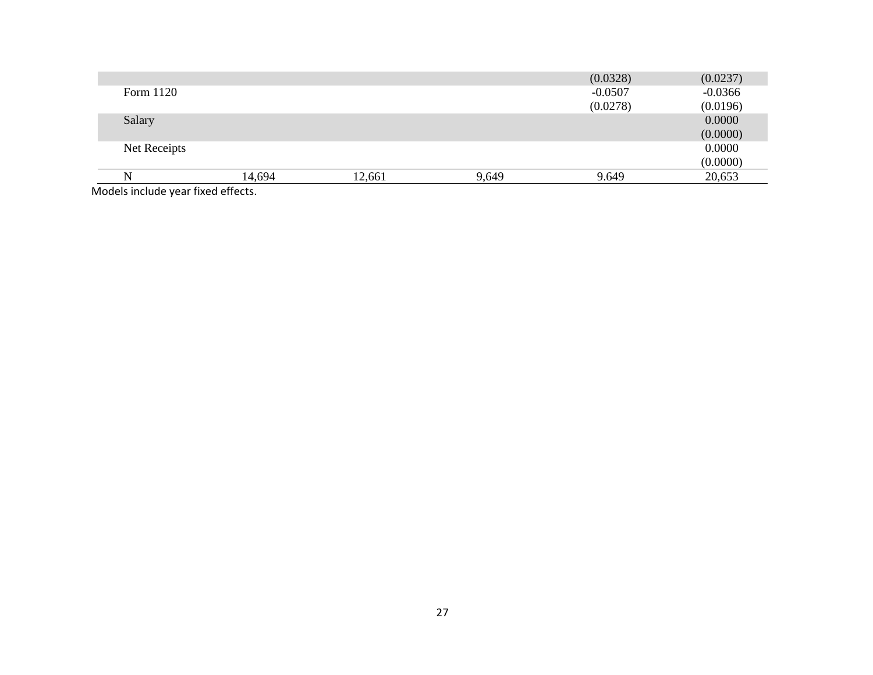|              |                                                                                                                 |        |       | (0.0328)  | (0.0237)  |
|--------------|-----------------------------------------------------------------------------------------------------------------|--------|-------|-----------|-----------|
| Form 1120    |                                                                                                                 |        |       | $-0.0507$ | $-0.0366$ |
|              |                                                                                                                 |        |       | (0.0278)  | (0.0196)  |
| Salary       |                                                                                                                 |        |       |           | 0.0000    |
|              |                                                                                                                 |        |       |           | (0.0000)  |
| Net Receipts |                                                                                                                 |        |       |           | 0.0000    |
|              |                                                                                                                 |        |       |           | (0.0000)  |
|              | 14,694                                                                                                          | 12,661 | 9,649 | 9.649     | 20,653    |
|              | the contract of the contract of the contract of the contract of the contract of the contract of the contract of |        |       |           |           |

Models include year fixed effects.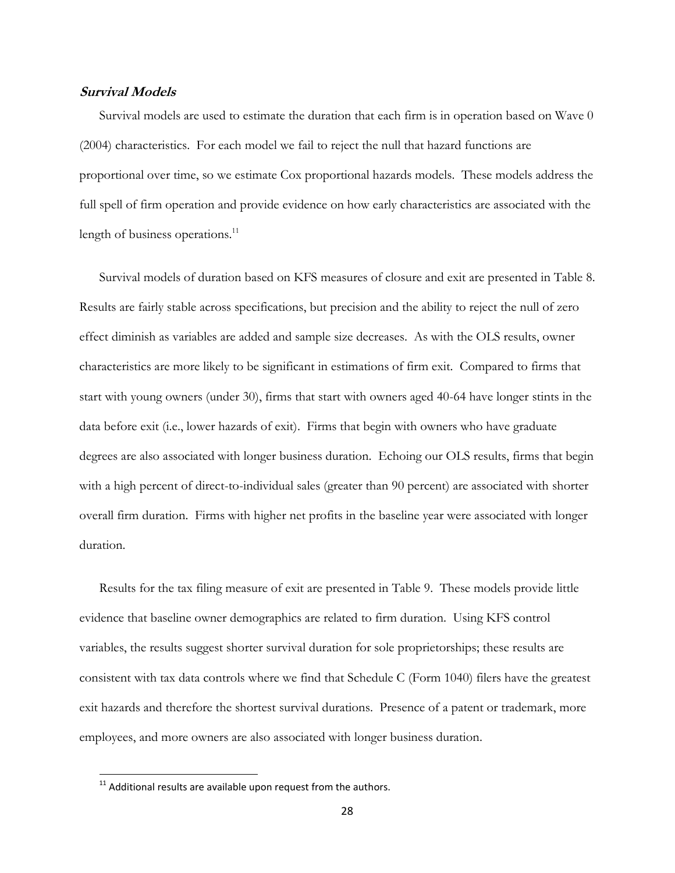# **Survival Models**

Survival models are used to estimate the duration that each firm is in operation based on Wave 0 (2004) characteristics. For each model we fail to reject the null that hazard functions are proportional over time, so we estimate Cox proportional hazards models. These models address the full spell of firm operation and provide evidence on how early characteristics are associated with the length of business operations.<sup>11</sup>

Survival models of duration based on KFS measures of closure and exit are presented in Table 8. Results are fairly stable across specifications, but precision and the ability to reject the null of zero effect diminish as variables are added and sample size decreases. As with the OLS results, owner characteristics are more likely to be significant in estimations of firm exit. Compared to firms that start with young owners (under 30), firms that start with owners aged 40-64 have longer stints in the data before exit (i.e., lower hazards of exit). Firms that begin with owners who have graduate degrees are also associated with longer business duration. Echoing our OLS results, firms that begin with a high percent of direct-to-individual sales (greater than 90 percent) are associated with shorter overall firm duration. Firms with higher net profits in the baseline year were associated with longer duration.

Results for the tax filing measure of exit are presented in Table 9. These models provide little evidence that baseline owner demographics are related to firm duration. Using KFS control variables, the results suggest shorter survival duration for sole proprietorships; these results are consistent with tax data controls where we find that Schedule C (Form 1040) filers have the greatest exit hazards and therefore the shortest survival durations. Presence of a patent or trademark, more employees, and more owners are also associated with longer business duration.

 $\overline{\phantom{a}}$ 

 $11$  Additional results are available upon request from the authors.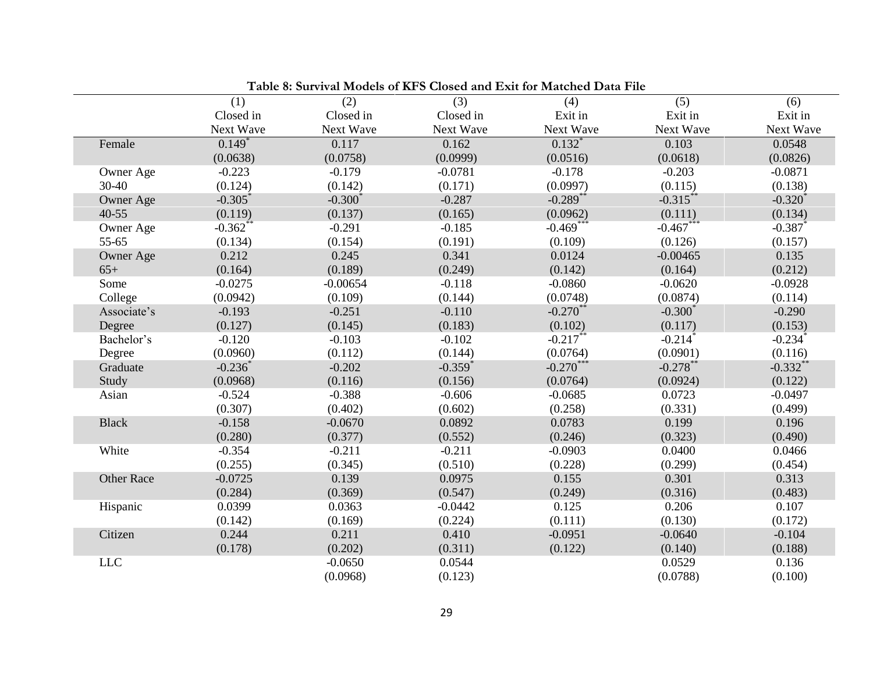|                   | (1)                  | (2)        | (3)                   | (4)         | (5)                   | (6)                   |
|-------------------|----------------------|------------|-----------------------|-------------|-----------------------|-----------------------|
|                   | Closed in            | Closed in  | Closed in             | Exit in     | Exit in               | Exit in               |
|                   | Next Wave            | Next Wave  | Next Wave             | Next Wave   | Next Wave             | Next Wave             |
| Female            | $0.149$ <sup>*</sup> | 0.117      | 0.162                 | $0.132*$    | 0.103                 | 0.0548                |
|                   | (0.0638)             | (0.0758)   | (0.0999)              | (0.0516)    | (0.0618)              | (0.0826)              |
| Owner Age         | $-0.223$             | $-0.179$   | $-0.0781$             | $-0.178$    | $-0.203$              | $-0.0871$             |
| 30-40             | (0.124)              | (0.142)    | (0.171)               | (0.0997)    | (0.115)               | (0.138)               |
| <b>Owner Age</b>  | $-0.305$             | $-0.300*$  | $-0.287$              | $-0.289$ ** | $-0.315***$           | $-0.320*$             |
| $40 - 55$         | (0.119)              | (0.137)    | (0.165)               | (0.0962)    | (0.111)               | (0.134)               |
| Owner Age         | $-0.362**$           | $-0.291$   | $-0.185$              | $-0.469***$ | $-0.467***$           | $-0.387$ *            |
| 55-65             | (0.134)              | (0.154)    | (0.191)               | (0.109)     | (0.126)               | (0.157)               |
| Owner Age         | 0.212                | 0.245      | 0.341                 | 0.0124      | $-0.00465$            | 0.135                 |
| $65+$             | (0.164)              | (0.189)    | (0.249)               | (0.142)     | (0.164)               | (0.212)               |
| Some              | $-0.0275$            | $-0.00654$ | $-0.118$              | $-0.0860$   | $-0.0620$             | $-0.0928$             |
| College           | (0.0942)             | (0.109)    | (0.144)               | (0.0748)    | (0.0874)              | (0.114)               |
| Associate's       | $-0.193$             | $-0.251$   | $-0.110$              | $-0.270$ ** | $-0.300^*$            | $-0.290$              |
| Degree            | (0.127)              | (0.145)    | (0.183)               | (0.102)     | (0.117)               | (0.153)               |
| Bachelor's        | $-0.120$             | $-0.103$   | $-0.102$              | $-0.217$ *  | $-0.214$ <sup>*</sup> | $-0.234$ <sup>*</sup> |
| Degree            | (0.0960)             | (0.112)    | (0.144)               | (0.0764)    | (0.0901)              | (0.116)               |
| Graduate          | $-0.236^*$           | $-0.202$   | $-0.359$ <sup>*</sup> | $-0.270***$ | $-0.278$ **           | $-0.332$ **           |
| Study             | (0.0968)             | (0.116)    | (0.156)               | (0.0764)    | (0.0924)              | (0.122)               |
| Asian             | $-0.524$             | $-0.388$   | $-0.606$              | $-0.0685$   | 0.0723                | $-0.0497$             |
|                   | (0.307)              | (0.402)    | (0.602)               | (0.258)     | (0.331)               | (0.499)               |
| <b>Black</b>      | $-0.158$             | $-0.0670$  | 0.0892                | 0.0783      | 0.199                 | 0.196                 |
|                   | (0.280)              | (0.377)    | (0.552)               | (0.246)     | (0.323)               | (0.490)               |
| White             | $-0.354$             | $-0.211$   | $-0.211$              | $-0.0903$   | 0.0400                | 0.0466                |
|                   | (0.255)              | (0.345)    | (0.510)               | (0.228)     | (0.299)               | (0.454)               |
| <b>Other Race</b> | $-0.0725$            | 0.139      | 0.0975                | 0.155       | 0.301                 | 0.313                 |
|                   | (0.284)              | (0.369)    | (0.547)               | (0.249)     | (0.316)               | (0.483)               |
| Hispanic          | 0.0399               | 0.0363     | $-0.0442$             | 0.125       | 0.206                 | 0.107                 |
|                   | (0.142)              | (0.169)    | (0.224)               | (0.111)     | (0.130)               | (0.172)               |
| Citizen           | 0.244                | 0.211      | 0.410                 | $-0.0951$   | $-0.0640$             | $-0.104$              |
|                   | (0.178)              | (0.202)    | (0.311)               | (0.122)     | (0.140)               | (0.188)               |
| <b>LLC</b>        |                      | $-0.0650$  | 0.0544                |             | 0.0529                | 0.136                 |
|                   |                      | (0.0968)   | (0.123)               |             | (0.0788)              | (0.100)               |

|  |  | Table 8: Survival Models of KFS Closed and Exit for Matched Data File |
|--|--|-----------------------------------------------------------------------|
|--|--|-----------------------------------------------------------------------|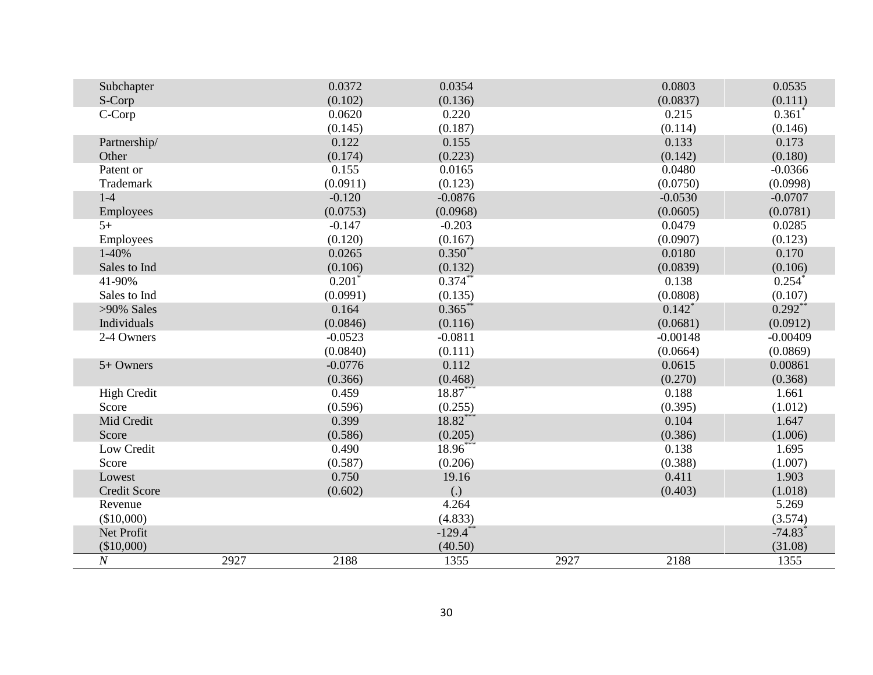| Subchapter          |      | 0.0372    | 0.0354       |      | 0.0803               | 0.0535                |
|---------------------|------|-----------|--------------|------|----------------------|-----------------------|
| S-Corp              |      | (0.102)   | (0.136)      |      | (0.0837)             | (0.111)               |
| C-Corp              |      | 0.0620    | 0.220        |      | 0.215                | $0.361$ <sup>*</sup>  |
|                     |      | (0.145)   | (0.187)      |      | (0.114)              | (0.146)               |
| Partnership/        |      | 0.122     | 0.155        |      | 0.133                | 0.173                 |
| Other               |      | (0.174)   | (0.223)      |      | (0.142)              | (0.180)               |
| Patent or           |      | 0.155     | 0.0165       |      | 0.0480               | $-0.0366$             |
| Trademark           |      | (0.0911)  | (0.123)      |      | (0.0750)             | (0.0998)              |
| $1-4$               |      | $-0.120$  | $-0.0876$    |      | $-0.0530$            | $-0.0707$             |
| Employees           |      | (0.0753)  | (0.0968)     |      | (0.0605)             | (0.0781)              |
| $5+$                |      | $-0.147$  | $-0.203$     |      | 0.0479               | 0.0285                |
| Employees           |      | (0.120)   | (0.167)      |      | (0.0907)             | (0.123)               |
| $1-40%$             |      | 0.0265    | $0.350^{**}$ |      | 0.0180               | 0.170                 |
| Sales to Ind        |      | (0.106)   | (0.132)      |      | (0.0839)             | (0.106)               |
| 41-90%              |      | $0.201*$  | $0.374***$   |      | 0.138                | $0.254$ *             |
| Sales to Ind        |      | (0.0991)  | (0.135)      |      | (0.0808)             | (0.107)               |
| >90% Sales          |      | 0.164     | $0.365$ **   |      | $0.142$ <sup>*</sup> | $0.292**$             |
| Individuals         |      | (0.0846)  | (0.116)      |      | (0.0681)             | (0.0912)              |
| 2-4 Owners          |      | $-0.0523$ | $-0.0811$    |      | $-0.00148$           | $-0.00409$            |
|                     |      | (0.0840)  | (0.111)      |      | (0.0664)             | (0.0869)              |
| $5+$ Owners         |      | $-0.0776$ | 0.112        |      | 0.0615               | 0.00861               |
|                     |      | (0.366)   | (0.468)      |      | (0.270)              | (0.368)               |
| <b>High Credit</b>  |      | 0.459     | $18.87***$   |      | 0.188                | 1.661                 |
| Score               |      | (0.596)   | (0.255)      |      | (0.395)              | (1.012)               |
| Mid Credit          |      | 0.399     | $18.82***$   |      | 0.104                | 1.647                 |
| Score               |      | (0.586)   | (0.205)      |      | (0.386)              | (1.006)               |
| Low Credit          |      | 0.490     | $18.96^{**}$ |      | 0.138                | 1.695                 |
| Score               |      | (0.587)   | (0.206)      |      | (0.388)              | (1.007)               |
| Lowest              |      | 0.750     | 19.16        |      | 0.411                | 1.903                 |
| <b>Credit Score</b> |      | (0.602)   | (.)          |      | (0.403)              | (1.018)               |
| Revenue             |      |           | 4.264        |      |                      | 5.269                 |
| (\$10,000)          |      |           | (4.833)      |      |                      | (3.574)               |
| Net Profit          |      |           | $-129.4$ **  |      |                      | $-74.83$ <sup>*</sup> |
| (\$10,000)          |      |           | (40.50)      |      |                      | (31.08)               |
| $\cal N$            | 2927 | 2188      | 1355         | 2927 | 2188                 | 1355                  |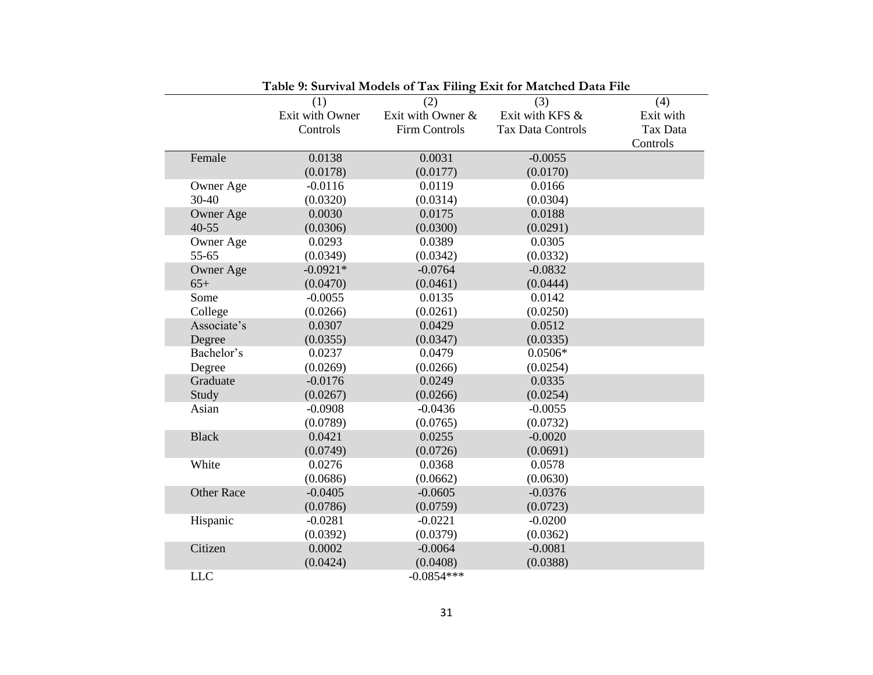|                    |                        |                          | I abic 9. Survival models of Tax Filling Exit for materied Data File |                  |
|--------------------|------------------------|--------------------------|----------------------------------------------------------------------|------------------|
|                    | (1)<br>Exit with Owner | (2)<br>Exit with Owner & | (3)<br>Exit with KFS &                                               | (4)<br>Exit with |
|                    | Controls               | <b>Firm Controls</b>     | <b>Tax Data Controls</b>                                             | Tax Data         |
|                    |                        |                          |                                                                      | Controls         |
|                    |                        |                          | $-0.0055$                                                            |                  |
| Female             | 0.0138                 | 0.0031                   |                                                                      |                  |
|                    | (0.0178)               | (0.0177)                 | (0.0170)                                                             |                  |
| Owner Age<br>30-40 | $-0.0116$              | 0.0119                   | 0.0166                                                               |                  |
|                    | (0.0320)               | (0.0314)                 | (0.0304)                                                             |                  |
| Owner Age          | 0.0030                 | 0.0175                   | 0.0188                                                               |                  |
| $40 - 55$          | (0.0306)               | (0.0300)                 | (0.0291)                                                             |                  |
| Owner Age          | 0.0293                 | 0.0389                   | 0.0305                                                               |                  |
| 55-65              | (0.0349)               | (0.0342)                 | (0.0332)                                                             |                  |
| Owner Age          | $-0.0921*$             | $-0.0764$                | $-0.0832$                                                            |                  |
| $65+$              | (0.0470)               | (0.0461)                 | (0.0444)                                                             |                  |
| Some               | $-0.0055$              | 0.0135                   | 0.0142                                                               |                  |
| College            | (0.0266)               | (0.0261)                 | (0.0250)                                                             |                  |
| Associate's        | 0.0307                 | 0.0429                   | 0.0512                                                               |                  |
| Degree             | (0.0355)               | (0.0347)                 | (0.0335)                                                             |                  |
| Bachelor's         | 0.0237                 | 0.0479                   | $0.0506*$                                                            |                  |
| Degree             | (0.0269)               | (0.0266)                 | (0.0254)                                                             |                  |
| Graduate           | $-0.0176$              | 0.0249                   | 0.0335                                                               |                  |
| Study              | (0.0267)               | (0.0266)                 | (0.0254)                                                             |                  |
| Asian              | $-0.0908$              | $-0.0436$                | $-0.0055$                                                            |                  |
|                    | (0.0789)               | (0.0765)                 | (0.0732)                                                             |                  |
| <b>Black</b>       | 0.0421                 | 0.0255                   | $-0.0020$                                                            |                  |
|                    | (0.0749)               | (0.0726)                 | (0.0691)                                                             |                  |
| White              | 0.0276                 | 0.0368                   | 0.0578                                                               |                  |
|                    | (0.0686)               | (0.0662)                 | (0.0630)                                                             |                  |
| <b>Other Race</b>  | $-0.0405$              | $-0.0605$                | $-0.0376$                                                            |                  |
|                    | (0.0786)               | (0.0759)                 | (0.0723)                                                             |                  |
| Hispanic           | $-0.0281$              | $-0.0221$                | $-0.0200$                                                            |                  |
|                    | (0.0392)               | (0.0379)                 | (0.0362)                                                             |                  |
| Citizen            | 0.0002                 | $-0.0064$                | $-0.0081$                                                            |                  |
|                    | (0.0424)               | (0.0408)                 | (0.0388)                                                             |                  |
| <b>LLC</b>         |                        | $-0.0854***$             |                                                                      |                  |

|  | Table 9: Survival Models of Tax Filing Exit for Matched Data File |  |
|--|-------------------------------------------------------------------|--|
|--|-------------------------------------------------------------------|--|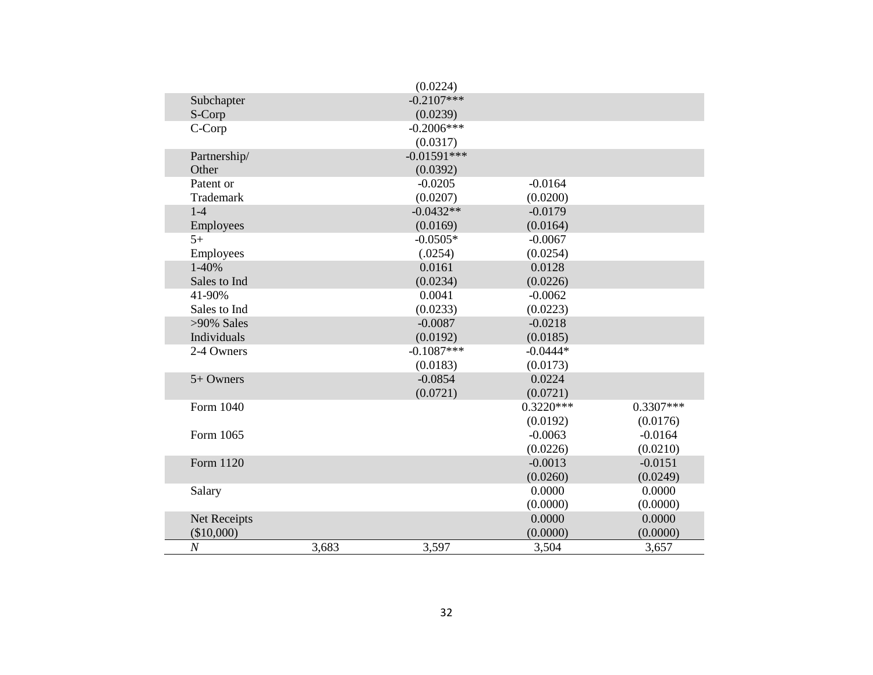|                  |       | (0.0224)      |             |             |
|------------------|-------|---------------|-------------|-------------|
| Subchapter       |       | $-0.2107***$  |             |             |
| S-Corp           |       | (0.0239)      |             |             |
| C-Corp           |       | $-0.2006***$  |             |             |
|                  |       | (0.0317)      |             |             |
| Partnership/     |       | $-0.01591***$ |             |             |
| Other            |       | (0.0392)      |             |             |
| Patent or        |       | $-0.0205$     | $-0.0164$   |             |
| Trademark        |       | (0.0207)      | (0.0200)    |             |
| $1-4$            |       | $-0.0432**$   | $-0.0179$   |             |
| Employees        |       | (0.0169)      | (0.0164)    |             |
| $5+$             |       | $-0.0505*$    | $-0.0067$   |             |
| Employees        |       | (.0254)       | (0.0254)    |             |
| 1-40%            |       | 0.0161        | 0.0128      |             |
| Sales to Ind     |       | (0.0234)      | (0.0226)    |             |
| 41-90%           |       | 0.0041        | $-0.0062$   |             |
| Sales to Ind     |       | (0.0233)      | (0.0223)    |             |
| $>90\%$ Sales    |       | $-0.0087$     | $-0.0218$   |             |
| Individuals      |       | (0.0192)      | (0.0185)    |             |
| 2-4 Owners       |       | $-0.1087***$  | $-0.0444*$  |             |
|                  |       | (0.0183)      | (0.0173)    |             |
| 5+ Owners        |       | $-0.0854$     | 0.0224      |             |
|                  |       | (0.0721)      | (0.0721)    |             |
| Form 1040        |       |               | $0.3220***$ | $0.3307***$ |
|                  |       |               | (0.0192)    | (0.0176)    |
| Form 1065        |       |               | $-0.0063$   | $-0.0164$   |
|                  |       |               | (0.0226)    | (0.0210)    |
| Form 1120        |       |               | $-0.0013$   | $-0.0151$   |
|                  |       |               | (0.0260)    | (0.0249)    |
| Salary           |       |               | 0.0000      | 0.0000      |
|                  |       |               | (0.0000)    | (0.0000)    |
| Net Receipts     |       |               | 0.0000      | 0.0000      |
| (\$10,000)       |       |               | (0.0000)    | (0.0000)    |
| $\boldsymbol{N}$ | 3,683 | 3,597         | 3,504       | 3,657       |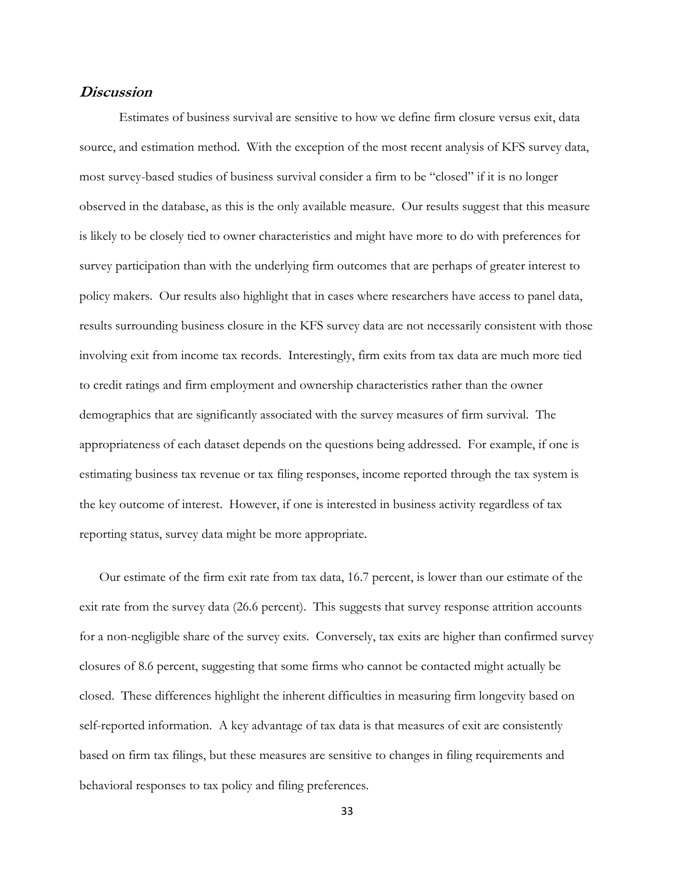### **Discussion**

Estimates of business survival are sensitive to how we define firm closure versus exit, data source, and estimation method. With the exception of the most recent analysis of KFS survey data, most survey-based studies of business survival consider a firm to be "closed" if it is no longer observed in the database, as this is the only available measure. Our results suggest that this measure is likely to be closely tied to owner characteristics and might have more to do with preferences for survey participation than with the underlying firm outcomes that are perhaps of greater interest to policy makers. Our results also highlight that in cases where researchers have access to panel data, results surrounding business closure in the KFS survey data are not necessarily consistent with those involving exit from income tax records. Interestingly, firm exits from tax data are much more tied to credit ratings and firm employment and ownership characteristics rather than the owner demographics that are significantly associated with the survey measures of firm survival. The appropriateness of each dataset depends on the questions being addressed. For example, if one is estimating business tax revenue or tax filing responses, income reported through the tax system is the key outcome of interest. However, if one is interested in business activity regardless of tax reporting status, survey data might be more appropriate.

Our estimate of the firm exit rate from tax data, 16.7 percent, is lower than our estimate of the exit rate from the survey data (26.6 percent). This suggests that survey response attrition accounts for a non-negligible share of the survey exits. Conversely, tax exits are higher than confirmed survey closures of 8.6 percent, suggesting that some firms who cannot be contacted might actually be closed. These differences highlight the inherent difficulties in measuring firm longevity based on self-reported information. A key advantage of tax data is that measures of exit are consistently based on firm tax filings, but these measures are sensitive to changes in filing requirements and behavioral responses to tax policy and filing preferences.

33